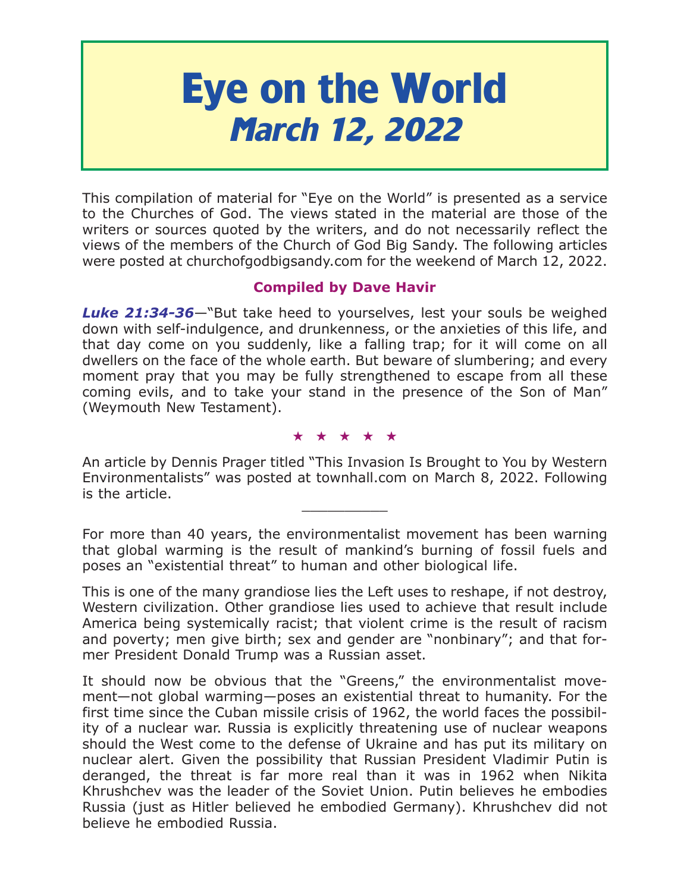# **Eye on the World March 12, 2022**

This compilation of material for "Eye on the World" is presented as a service to the Churches of God. The views stated in the material are those of the writers or sources quoted by the writers, and do not necessarily reflect the views of the members of the Church of God Big Sandy. The following articles were posted at churchofgodbigsandy.com for the weekend of March 12, 2022.

# **Compiled by Dave Havir**

*Luke 21:34-36*—"But take heed to yourselves, lest your souls be weighed down with self-indulgence, and drunkenness, or the anxieties of this life, and that day come on you suddenly, like a falling trap; for it will come on all dwellers on the face of the whole earth. But beware of slumbering; and every moment pray that you may be fully strengthened to escape from all these coming evils, and to take your stand in the presence of the Son of Man" (Weymouth New Testament).

#### ★★★★★

An article by Dennis Prager titled "This Invasion Is Brought to You by Western Environmentalists" was posted at townhall.com on March 8, 2022. Following is the article.

For more than 40 years, the environmentalist movement has been warning that global warming is the result of mankind's burning of fossil fuels and poses an "existential threat" to human and other biological life.

This is one of the many grandiose lies the Left uses to reshape, if not destroy, Western civilization. Other grandiose lies used to achieve that result include America being systemically racist; that violent crime is the result of racism and poverty; men give birth; sex and gender are "nonbinary"; and that former President Donald Trump was a Russian asset.

It should now be obvious that the "Greens," the environmentalist movement—not global warming—poses an existential threat to humanity. For the first time since the Cuban missile crisis of 1962, the world faces the possibility of a nuclear war. Russia is explicitly threatening use of nuclear weapons should the West come to the defense of Ukraine and has put its military on nuclear alert. Given the possibility that Russian President Vladimir Putin is deranged, the threat is far more real than it was in 1962 when Nikita Khrushchev was the leader of the Soviet Union. Putin believes he embodies Russia (just as Hitler believed he embodied Germany). Khrushchev did not believe he embodied Russia.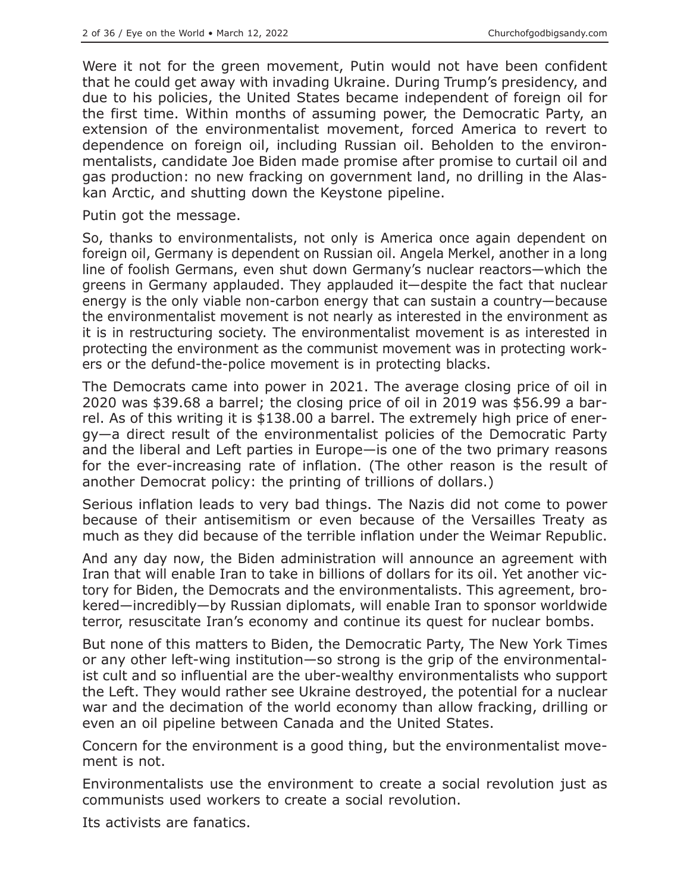Were it not for the green movement, Putin would not have been confident that he could get away with invading Ukraine. During Trump's presidency, and due to his policies, the United States became independent of foreign oil for the first time. Within months of assuming power, the Democratic Party, an extension of the environmentalist movement, forced America to revert to dependence on foreign oil, including Russian oil. Beholden to the environmentalists, candidate Joe Biden made promise after promise to curtail oil and gas production: no new fracking on government land, no drilling in the Alaskan Arctic, and shutting down the Keystone pipeline.

Putin got the message.

So, thanks to environmentalists, not only is America once again dependent on foreign oil, Germany is dependent on Russian oil. Angela Merkel, another in a long line of foolish Germans, even shut down Germany's nuclear reactors—which the greens in Germany applauded. They applauded it—despite the fact that nuclear energy is the only viable non-carbon energy that can sustain a country—because the environmentalist movement is not nearly as interested in the environment as it is in restructuring society. The environmentalist movement is as interested in protecting the environment as the communist movement was in protecting workers or the defund-the-police movement is in protecting blacks.

The Democrats came into power in 2021. The average closing price of oil in 2020 was \$39.68 a barrel; the closing price of oil in 2019 was \$56.99 a barrel. As of this writing it is \$138.00 a barrel. The extremely high price of energy—a direct result of the environmentalist policies of the Democratic Party and the liberal and Left parties in Europe—is one of the two primary reasons for the ever-increasing rate of inflation. (The other reason is the result of another Democrat policy: the printing of trillions of dollars.)

Serious inflation leads to very bad things. The Nazis did not come to power because of their antisemitism or even because of the Versailles Treaty as much as they did because of the terrible inflation under the Weimar Republic.

And any day now, the Biden administration will announce an agreement with Iran that will enable Iran to take in billions of dollars for its oil. Yet another victory for Biden, the Democrats and the environmentalists. This agreement, brokered—incredibly—by Russian diplomats, will enable Iran to sponsor worldwide terror, resuscitate Iran's economy and continue its quest for nuclear bombs.

But none of this matters to Biden, the Democratic Party, The New York Times or any other left-wing institution—so strong is the grip of the environmentalist cult and so influential are the uber-wealthy environmentalists who support the Left. They would rather see Ukraine destroyed, the potential for a nuclear war and the decimation of the world economy than allow fracking, drilling or even an oil pipeline between Canada and the United States.

Concern for the environment is a good thing, but the environmentalist movement is not.

Environmentalists use the environment to create a social revolution just as communists used workers to create a social revolution.

Its activists are fanatics.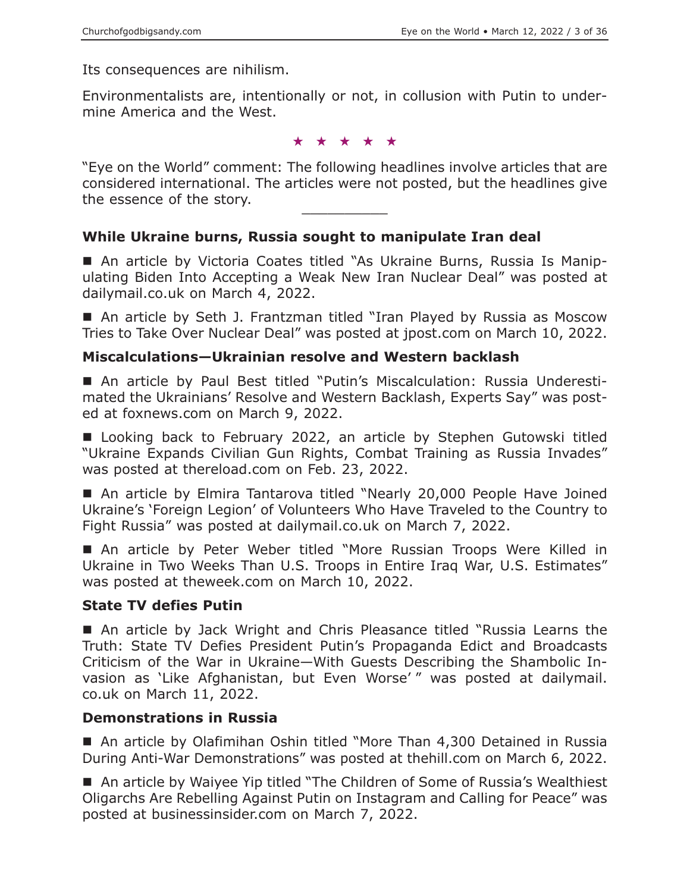Its consequences are nihilism.

Environmentalists are, intentionally or not, in collusion with Putin to undermine America and the West.

★★★★★

"Eye on the World" comment: The following headlines involve articles that are considered international. The articles were not posted, but the headlines give the essence of the story.

#### **While Ukraine burns, Russia sought to manipulate Iran deal**

■ An article by Victoria Coates titled "As Ukraine Burns, Russia Is Manipulating Biden Into Accepting a Weak New Iran Nuclear Deal" was posted at dailymail.co.uk on March 4, 2022.

■ An article by Seth J. Frantzman titled "Iran Played by Russia as Moscow Tries to Take Over Nuclear Deal" was posted at jpost.com on March 10, 2022.

#### **Miscalculations—Ukrainian resolve and Western backlash**

 An article by Paul Best titled "Putin's Miscalculation: Russia Underestimated the Ukrainians' Resolve and Western Backlash, Experts Say" was posted at foxnews.com on March 9, 2022.

■ Looking back to February 2022, an article by Stephen Gutowski titled "Ukraine Expands Civilian Gun Rights, Combat Training as Russia Invades" was posted at thereload.com on Feb. 23, 2022.

■ An article by Elmira Tantarova titled "Nearly 20,000 People Have Joined Ukraine's 'Foreign Legion' of Volunteers Who Have Traveled to the Country to Fight Russia" was posted at dailymail.co.uk on March 7, 2022.

 An article by Peter Weber titled "More Russian Troops Were Killed in Ukraine in Two Weeks Than U.S. Troops in Entire Iraq War, U.S. Estimates" was posted at theweek.com on March 10, 2022.

#### **State TV defies Putin**

 An article by Jack Wright and Chris Pleasance titled "Russia Learns the Truth: State TV Defies President Putin's Propaganda Edict and Broadcasts Criticism of the War in Ukraine—With Guests Describing the Shambolic Invasion as 'Like Afghanistan, but Even Worse' " was posted at dailymail. co.uk on March 11, 2022.

#### **Demonstrations in Russia**

■ An article by Olafimihan Oshin titled "More Than 4,300 Detained in Russia During Anti-War Demonstrations" was posted at thehill.com on March 6, 2022.

■ An article by Waiyee Yip titled "The Children of Some of Russia's Wealthiest Oligarchs Are Rebelling Against Putin on Instagram and Calling for Peace" was posted at businessinsider.com on March 7, 2022.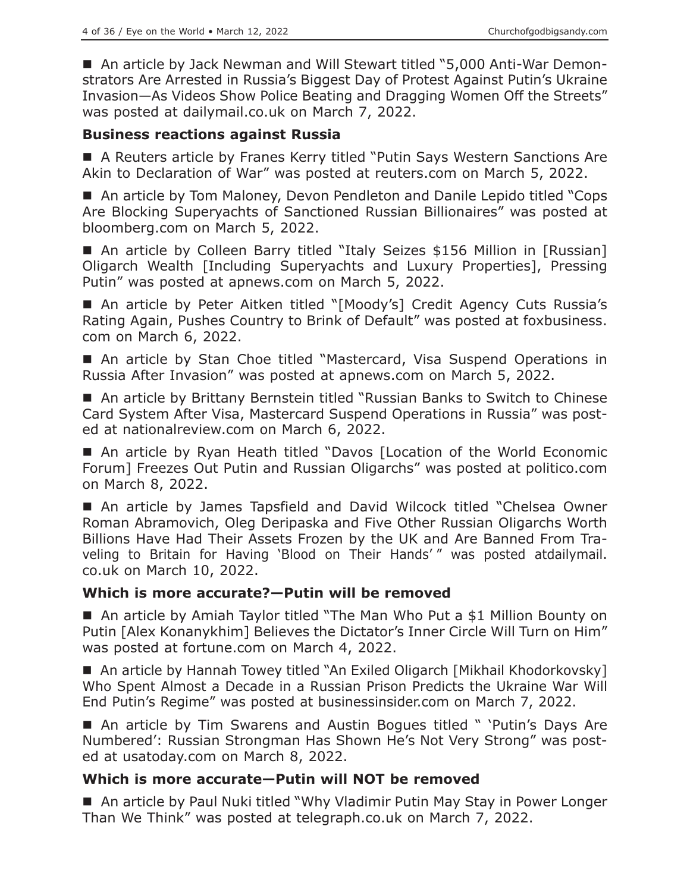■ An article by Jack Newman and Will Stewart titled "5,000 Anti-War Demonstrators Are Arrested in Russia's Biggest Day of Protest Against Putin's Ukraine Invasion—As Videos Show Police Beating and Dragging Women Off the Streets" was posted at dailymail.co.uk on March 7, 2022.

#### **Business reactions against Russia**

■ A Reuters article by Franes Kerry titled "Putin Says Western Sanctions Are Akin to Declaration of War" was posted at reuters.com on March 5, 2022.

■ An article by Tom Maloney, Devon Pendleton and Danile Lepido titled "Cops Are Blocking Superyachts of Sanctioned Russian Billionaires" was posted at bloomberg.com on March 5, 2022.

■ An article by Colleen Barry titled "Italy Seizes \$156 Million in [Russian] Oligarch Wealth [Including Superyachts and Luxury Properties], Pressing Putin" was posted at apnews.com on March 5, 2022.

■ An article by Peter Aitken titled "[Moody's] Credit Agency Cuts Russia's Rating Again, Pushes Country to Brink of Default" was posted at foxbusiness. com on March 6, 2022.

■ An article by Stan Choe titled "Mastercard, Visa Suspend Operations in Russia After Invasion" was posted at apnews.com on March 5, 2022.

■ An article by Brittany Bernstein titled "Russian Banks to Switch to Chinese Card System After Visa, Mastercard Suspend Operations in Russia" was posted at nationalreview.com on March 6, 2022.

 An article by Ryan Heath titled "Davos [Location of the World Economic Forum] Freezes Out Putin and Russian Oligarchs" was posted at politico.com on March 8, 2022.

 An article by James Tapsfield and David Wilcock titled "Chelsea Owner Roman Abramovich, Oleg Deripaska and Five Other Russian Oligarchs Worth Billions Have Had Their Assets Frozen by the UK and Are Banned From Traveling to Britain for Having 'Blood on Their Hands' " was posted atdailymail. co.uk on March 10, 2022.

## **Which is more accurate?—Putin will be removed**

■ An article by Amiah Taylor titled "The Man Who Put a \$1 Million Bounty on Putin [Alex Konanykhim] Believes the Dictator's Inner Circle Will Turn on Him" was posted at fortune.com on March 4, 2022.

■ An article by Hannah Towey titled "An Exiled Oligarch [Mikhail Khodorkovsky] Who Spent Almost a Decade in a Russian Prison Predicts the Ukraine War Will End Putin's Regime" was posted at businessinsider.com on March 7, 2022.

■ An article by Tim Swarens and Austin Bogues titled " 'Putin's Days Are Numbered': Russian Strongman Has Shown He's Not Very Strong" was posted at usatoday.com on March 8, 2022.

## **Which is more accurate—Putin will NOT be removed**

■ An article by Paul Nuki titled "Why Vladimir Putin May Stay in Power Longer Than We Think" was posted at telegraph.co.uk on March 7, 2022.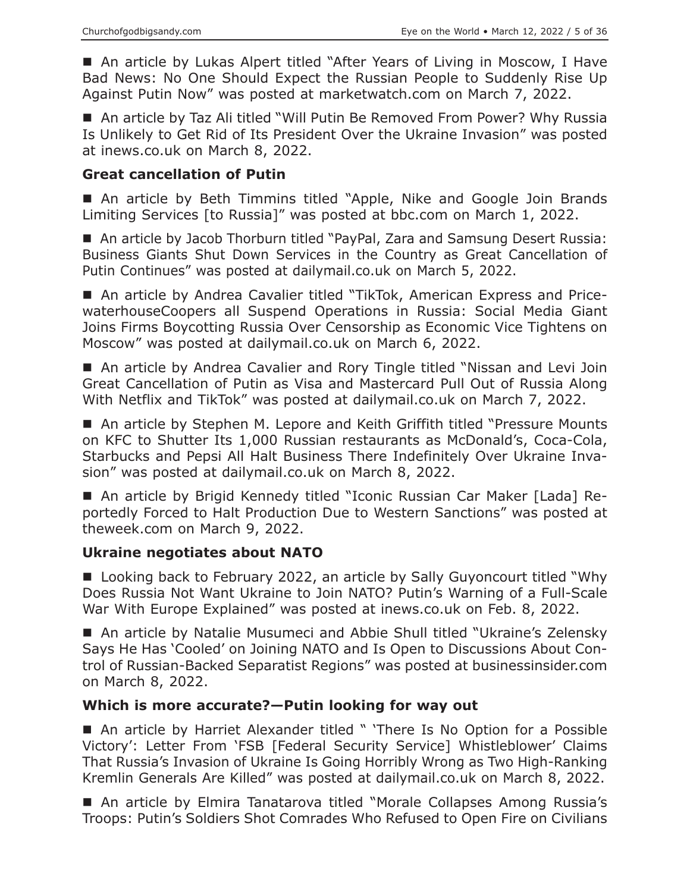An article by Lukas Alpert titled "After Years of Living in Moscow, I Have Bad News: No One Should Expect the Russian People to Suddenly Rise Up Against Putin Now" was posted at marketwatch.com on March 7, 2022.

■ An article by Taz Ali titled "Will Putin Be Removed From Power? Why Russia Is Unlikely to Get Rid of Its President Over the Ukraine Invasion" was posted at inews.co.uk on March 8, 2022.

#### **Great cancellation of Putin**

■ An article by Beth Timmins titled "Apple, Nike and Google Join Brands Limiting Services [to Russia]" was posted at bbc.com on March 1, 2022.

■ An article by Jacob Thorburn titled "PayPal, Zara and Samsung Desert Russia: Business Giants Shut Down Services in the Country as Great Cancellation of Putin Continues" was posted at dailymail.co.uk on March 5, 2022.

 An article by Andrea Cavalier titled "TikTok, American Express and PricewaterhouseCoopers all Suspend Operations in Russia: Social Media Giant Joins Firms Boycotting Russia Over Censorship as Economic Vice Tightens on Moscow" was posted at dailymail.co.uk on March 6, 2022.

■ An article by Andrea Cavalier and Rory Tingle titled "Nissan and Levi Join Great Cancellation of Putin as Visa and Mastercard Pull Out of Russia Along With Netflix and TikTok" was posted at dailymail.co.uk on March 7, 2022.

■ An article by Stephen M. Lepore and Keith Griffith titled "Pressure Mounts on KFC to Shutter Its 1,000 Russian restaurants as McDonald's, Coca-Cola, Starbucks and Pepsi All Halt Business There Indefinitely Over Ukraine Invasion" was posted at dailymail.co.uk on March 8, 2022.

■ An article by Brigid Kennedy titled "Iconic Russian Car Maker [Lada] Reportedly Forced to Halt Production Due to Western Sanctions" was posted at theweek.com on March 9, 2022.

## **Ukraine negotiates about NATO**

■ Looking back to February 2022, an article by Sally Guyoncourt titled "Why Does Russia Not Want Ukraine to Join NATO? Putin's Warning of a Full-Scale War With Europe Explained" was posted at inews.co.uk on Feb. 8, 2022.

 An article by Natalie Musumeci and Abbie Shull titled "Ukraine's Zelensky Says He Has 'Cooled' on Joining NATO and Is Open to Discussions About Control of Russian-Backed Separatist Regions" was posted at businessinsider.com on March 8, 2022.

## **Which is more accurate?—Putin looking for way out**

■ An article by Harriet Alexander titled " 'There Is No Option for a Possible Victory': Letter From 'FSB [Federal Security Service] Whistleblower' Claims That Russia's Invasion of Ukraine Is Going Horribly Wrong as Two High-Ranking Kremlin Generals Are Killed" was posted at dailymail.co.uk on March 8, 2022.

■ An article by Elmira Tanatarova titled "Morale Collapses Among Russia's Troops: Putin's Soldiers Shot Comrades Who Refused to Open Fire on Civilians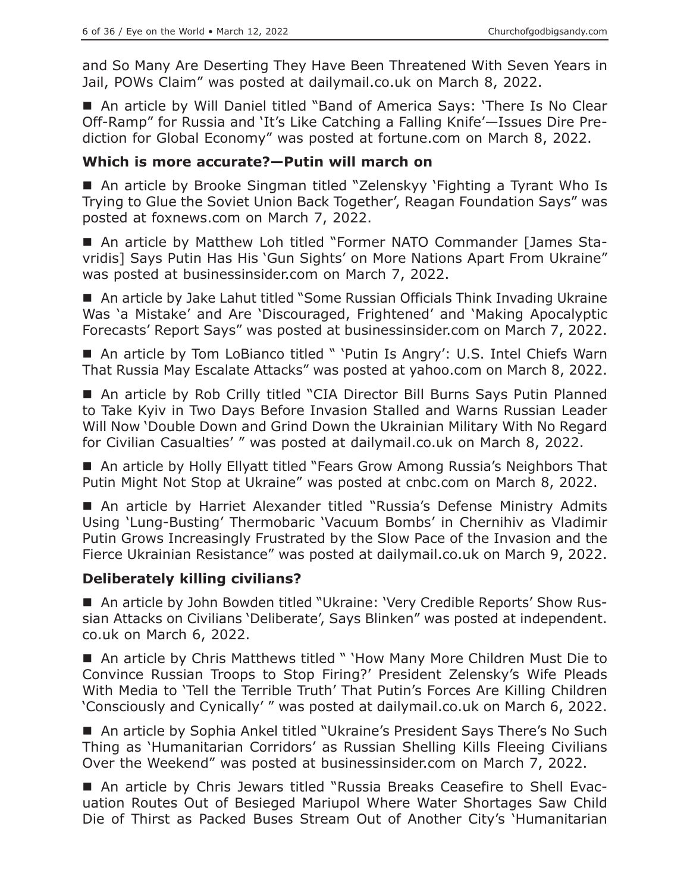and So Many Are Deserting They Have Been Threatened With Seven Years in Jail, POWs Claim" was posted at dailymail.co.uk on March 8, 2022.

 An article by Will Daniel titled "Band of America Says: 'There Is No Clear Off-Ramp" for Russia and 'It's Like Catching a Falling Knife'—Issues Dire Prediction for Global Economy" was posted at fortune.com on March 8, 2022.

#### **Which is more accurate?—Putin will march on**

■ An article by Brooke Singman titled "Zelenskyy 'Fighting a Tyrant Who Is Trying to Glue the Soviet Union Back Together', Reagan Foundation Says" was posted at foxnews.com on March 7, 2022.

 An article by Matthew Loh titled "Former NATO Commander [James Stavridis] Says Putin Has His 'Gun Sights' on More Nations Apart From Ukraine" was posted at businessinsider.com on March 7, 2022.

■ An article by Jake Lahut titled "Some Russian Officials Think Invading Ukraine Was 'a Mistake' and Are 'Discouraged, Frightened' and 'Making Apocalyptic Forecasts' Report Says" was posted at businessinsider.com on March 7, 2022.

■ An article by Tom LoBianco titled " 'Putin Is Angry': U.S. Intel Chiefs Warn That Russia May Escalate Attacks" was posted at yahoo.com on March 8, 2022.

 An article by Rob Crilly titled "CIA Director Bill Burns Says Putin Planned to Take Kyiv in Two Days Before Invasion Stalled and Warns Russian Leader Will Now 'Double Down and Grind Down the Ukrainian Military With No Regard for Civilian Casualties' " was posted at dailymail.co.uk on March 8, 2022.

■ An article by Holly Ellyatt titled "Fears Grow Among Russia's Neighbors That Putin Might Not Stop at Ukraine" was posted at cnbc.com on March 8, 2022.

■ An article by Harriet Alexander titled "Russia's Defense Ministry Admits Using 'Lung-Busting' Thermobaric 'Vacuum Bombs' in Chernihiv as Vladimir Putin Grows Increasingly Frustrated by the Slow Pace of the Invasion and the Fierce Ukrainian Resistance" was posted at dailymail.co.uk on March 9, 2022.

## **Deliberately killing civilians?**

 An article by John Bowden titled "Ukraine: 'Very Credible Reports' Show Russian Attacks on Civilians 'Deliberate', Says Blinken" was posted at independent. co.uk on March 6, 2022.

■ An article by Chris Matthews titled " 'How Many More Children Must Die to Convince Russian Troops to Stop Firing?' President Zelensky's Wife Pleads With Media to 'Tell the Terrible Truth' That Putin's Forces Are Killing Children 'Consciously and Cynically' " was posted at dailymail.co.uk on March 6, 2022.

■ An article by Sophia Ankel titled "Ukraine's President Says There's No Such Thing as 'Humanitarian Corridors' as Russian Shelling Kills Fleeing Civilians Over the Weekend" was posted at businessinsider.com on March 7, 2022.

■ An article by Chris Jewars titled "Russia Breaks Ceasefire to Shell Evacuation Routes Out of Besieged Mariupol Where Water Shortages Saw Child Die of Thirst as Packed Buses Stream Out of Another City's 'Humanitarian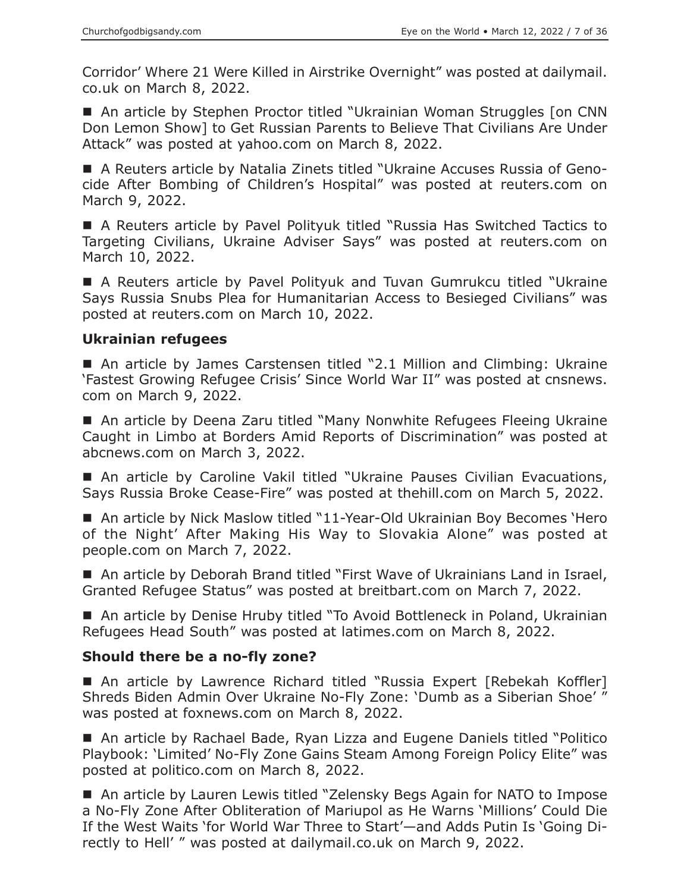Corridor' Where 21 Were Killed in Airstrike Overnight" was posted at dailymail. co.uk on March 8, 2022.

■ An article by Stephen Proctor titled "Ukrainian Woman Struggles [on CNN Don Lemon Show] to Get Russian Parents to Believe That Civilians Are Under Attack" was posted at yahoo.com on March 8, 2022.

 A Reuters article by Natalia Zinets titled "Ukraine Accuses Russia of Genocide After Bombing of Children's Hospital" was posted at reuters.com on March 9, 2022.

 A Reuters article by Pavel Polityuk titled "Russia Has Switched Tactics to Targeting Civilians, Ukraine Adviser Says" was posted at reuters.com on March 10, 2022.

 A Reuters article by Pavel Polityuk and Tuvan Gumrukcu titled "Ukraine Says Russia Snubs Plea for Humanitarian Access to Besieged Civilians" was posted at reuters.com on March 10, 2022.

## **Ukrainian refugees**

■ An article by James Carstensen titled "2.1 Million and Climbing: Ukraine 'Fastest Growing Refugee Crisis' Since World War II" was posted at cnsnews. com on March 9, 2022.

■ An article by Deena Zaru titled "Many Nonwhite Refugees Fleeing Ukraine Caught in Limbo at Borders Amid Reports of Discrimination" was posted at abcnews.com on March 3, 2022.

 An article by Caroline Vakil titled "Ukraine Pauses Civilian Evacuations, Says Russia Broke Cease-Fire" was posted at thehill.com on March 5, 2022.

■ An article by Nick Maslow titled "11-Year-Old Ukrainian Boy Becomes 'Hero of the Night' After Making His Way to Slovakia Alone" was posted at people.com on March 7, 2022.

■ An article by Deborah Brand titled "First Wave of Ukrainians Land in Israel, Granted Refugee Status" was posted at breitbart.com on March 7, 2022.

 An article by Denise Hruby titled "To Avoid Bottleneck in Poland, Ukrainian Refugees Head South" was posted at latimes.com on March 8, 2022.

## **Should there be a no-fly zone?**

■ An article by Lawrence Richard titled "Russia Expert [Rebekah Koffler] Shreds Biden Admin Over Ukraine No-Fly Zone: 'Dumb as a Siberian Shoe' " was posted at foxnews.com on March 8, 2022.

 An article by Rachael Bade, Ryan Lizza and Eugene Daniels titled "Politico Playbook: 'Limited' No-Fly Zone Gains Steam Among Foreign Policy Elite" was posted at politico.com on March 8, 2022.

■ An article by Lauren Lewis titled "Zelensky Begs Again for NATO to Impose a No-Fly Zone After Obliteration of Mariupol as He Warns 'Millions' Could Die If the West Waits 'for World War Three to Start'—and Adds Putin Is 'Going Directly to Hell' " was posted at dailymail.co.uk on March 9, 2022.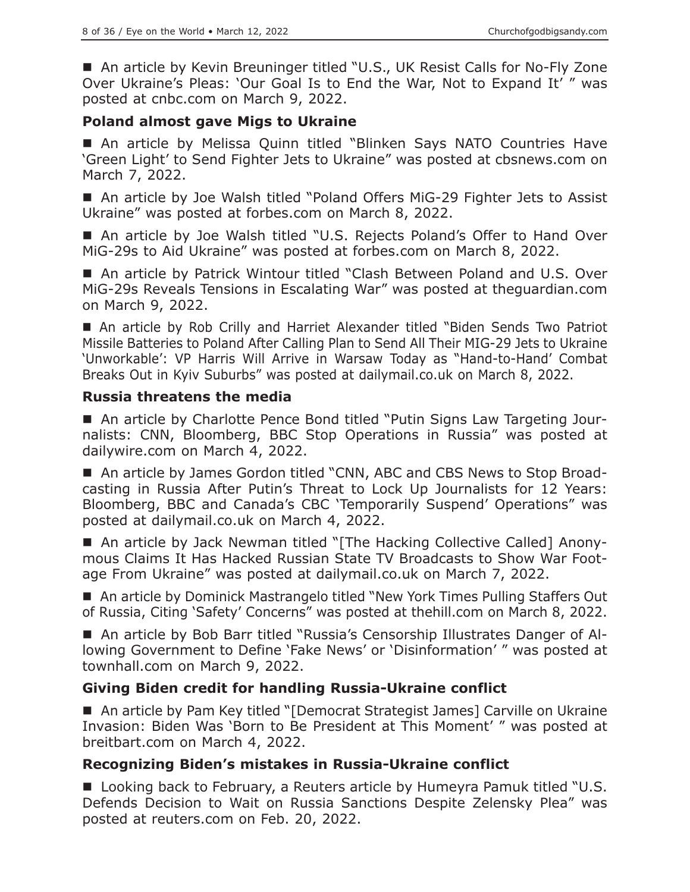■ An article by Kevin Breuninger titled "U.S., UK Resist Calls for No-Fly Zone Over Ukraine's Pleas: 'Our Goal Is to End the War, Not to Expand It' " was posted at cnbc.com on March 9, 2022.

## **Poland almost gave Migs to Ukraine**

 An article by Melissa Quinn titled "Blinken Says NATO Countries Have 'Green Light' to Send Fighter Jets to Ukraine" was posted at cbsnews.com on March 7, 2022.

■ An article by Joe Walsh titled "Poland Offers MiG-29 Fighter Jets to Assist Ukraine" was posted at forbes.com on March 8, 2022.

■ An article by Joe Walsh titled "U.S. Rejects Poland's Offer to Hand Over MiG-29s to Aid Ukraine" was posted at forbes.com on March 8, 2022.

■ An article by Patrick Wintour titled "Clash Between Poland and U.S. Over MiG-29s Reveals Tensions in Escalating War" was posted at theguardian.com on March 9, 2022.

 An article by Rob Crilly and Harriet Alexander titled "Biden Sends Two Patriot Missile Batteries to Poland After Calling Plan to Send All Their MIG-29 Jets to Ukraine 'Unworkable': VP Harris Will Arrive in Warsaw Today as "Hand-to-Hand' Combat Breaks Out in Kyiv Suburbs" was posted at dailymail.co.uk on March 8, 2022.

## **Russia threatens the media**

 An article by Charlotte Pence Bond titled "Putin Signs Law Targeting Journalists: CNN, Bloomberg, BBC Stop Operations in Russia" was posted at dailywire.com on March 4, 2022.

■ An article by James Gordon titled "CNN, ABC and CBS News to Stop Broadcasting in Russia After Putin's Threat to Lock Up Journalists for 12 Years: Bloomberg, BBC and Canada's CBC 'Temporarily Suspend' Operations" was posted at dailymail.co.uk on March 4, 2022.

■ An article by Jack Newman titled "[The Hacking Collective Called] Anonymous Claims It Has Hacked Russian State TV Broadcasts to Show War Footage From Ukraine" was posted at dailymail.co.uk on March 7, 2022.

■ An article by Dominick Mastrangelo titled "New York Times Pulling Staffers Out of Russia, Citing 'Safety' Concerns" was posted at thehill.com on March 8, 2022.

 An article by Bob Barr titled "Russia's Censorship Illustrates Danger of Allowing Government to Define 'Fake News' or 'Disinformation' " was posted at townhall.com on March 9, 2022.

# **Giving Biden credit for handling Russia-Ukraine conflict**

■ An article by Pam Key titled "[Democrat Strategist James] Carville on Ukraine Invasion: Biden Was 'Born to Be President at This Moment' " was posted at breitbart.com on March 4, 2022.

# **Recognizing Biden's mistakes in Russia-Ukraine conflict**

■ Looking back to February, a Reuters article by Humeyra Pamuk titled "U.S. Defends Decision to Wait on Russia Sanctions Despite Zelensky Plea" was posted at reuters.com on Feb. 20, 2022.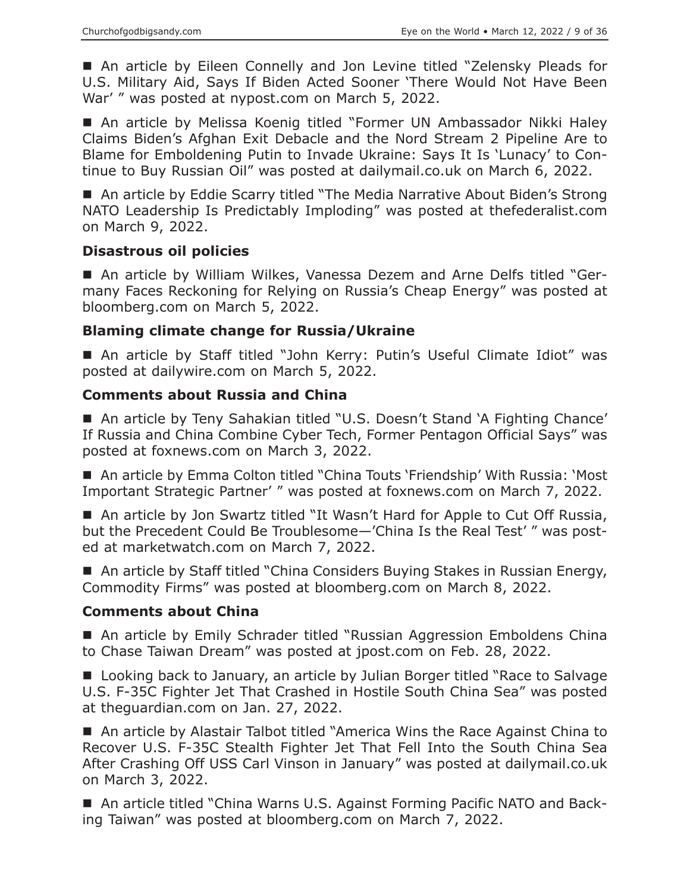■ An article by Eileen Connelly and Jon Levine titled "Zelensky Pleads for U.S. Military Aid, Says If Biden Acted Sooner 'There Would Not Have Been War' " was posted at nypost.com on March 5, 2022.

 An article by Melissa Koenig titled "Former UN Ambassador Nikki Haley Claims Biden's Afghan Exit Debacle and the Nord Stream 2 Pipeline Are to Blame for Emboldening Putin to Invade Ukraine: Says It Is 'Lunacy' to Continue to Buy Russian Oil" was posted at dailymail.co.uk on March 6, 2022.

■ An article by Eddie Scarry titled "The Media Narrative About Biden's Strong NATO Leadership Is Predictably Imploding" was posted at thefederalist.com on March 9, 2022.

## **Disastrous oil policies**

 An article by William Wilkes, Vanessa Dezem and Arne Delfs titled "Germany Faces Reckoning for Relying on Russia's Cheap Energy" was posted at bloomberg.com on March 5, 2022.

# **Blaming climate change for Russia/Ukraine**

■ An article by Staff titled "John Kerry: Putin's Useful Climate Idiot" was posted at dailywire.com on March 5, 2022.

# **Comments about Russia and China**

■ An article by Teny Sahakian titled "U.S. Doesn't Stand 'A Fighting Chance' If Russia and China Combine Cyber Tech, Former Pentagon Official Says" was posted at foxnews.com on March 3, 2022.

■ An article by Emma Colton titled "China Touts 'Friendship' With Russia: 'Most Important Strategic Partner' " was posted at foxnews.com on March 7, 2022.

■ An article by Jon Swartz titled "It Wasn't Hard for Apple to Cut Off Russia, but the Precedent Could Be Troublesome—'China Is the Real Test' " was posted at marketwatch.com on March 7, 2022.

■ An article by Staff titled "China Considers Buying Stakes in Russian Energy, Commodity Firms" was posted at bloomberg.com on March 8, 2022.

## **Comments about China**

■ An article by Emily Schrader titled "Russian Aggression Emboldens China to Chase Taiwan Dream" was posted at jpost.com on Feb. 28, 2022.

■ Looking back to January, an article by Julian Borger titled "Race to Salvage U.S. F-35C Fighter Jet That Crashed in Hostile South China Sea" was posted at theguardian.com on Jan. 27, 2022.

■ An article by Alastair Talbot titled "America Wins the Race Against China to Recover U.S. F-35C Stealth Fighter Jet That Fell Into the South China Sea After Crashing Off USS Carl Vinson in January" was posted at dailymail.co.uk on March 3, 2022.

■ An article titled "China Warns U.S. Against Forming Pacific NATO and Backing Taiwan" was posted at bloomberg.com on March 7, 2022.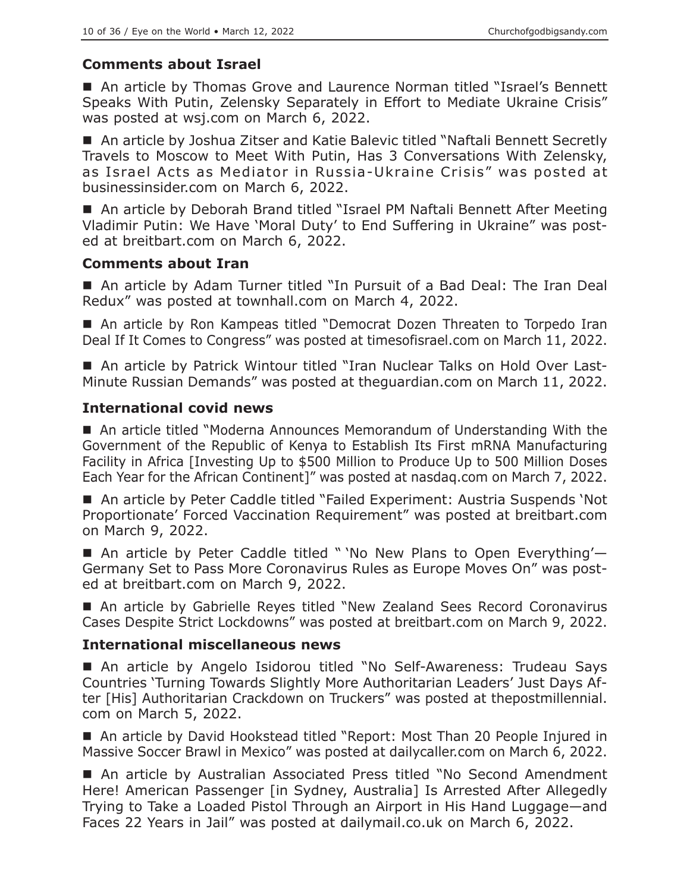# **Comments about Israel**

■ An article by Thomas Grove and Laurence Norman titled "Israel's Bennett Speaks With Putin, Zelensky Separately in Effort to Mediate Ukraine Crisis" was posted at wsj.com on March 6, 2022.

 An article by Joshua Zitser and Katie Balevic titled "Naftali Bennett Secretly Travels to Moscow to Meet With Putin, Has 3 Conversations With Zelensky, as Israel Acts as Mediator in Russia-Ukraine Crisis" was posted at businessinsider.com on March 6, 2022.

 An article by Deborah Brand titled "Israel PM Naftali Bennett After Meeting Vladimir Putin: We Have 'Moral Duty' to End Suffering in Ukraine" was posted at breitbart.com on March 6, 2022.

#### **Comments about Iran**

 An article by Adam Turner titled "In Pursuit of a Bad Deal: The Iran Deal Redux" was posted at townhall.com on March 4, 2022.

■ An article by Ron Kampeas titled "Democrat Dozen Threaten to Torpedo Iran Deal If It Comes to Congress" was posted at timesofisrael.com on March 11, 2022.

■ An article by Patrick Wintour titled "Iran Nuclear Talks on Hold Over Last-Minute Russian Demands" was posted at theguardian.com on March 11, 2022.

## **International covid news**

■ An article titled "Moderna Announces Memorandum of Understanding With the Government of the Republic of Kenya to Establish Its First mRNA Manufacturing Facility in Africa [Investing Up to \$500 Million to Produce Up to 500 Million Doses Each Year for the African Continent]" was posted at nasdaq.com on March 7, 2022.

■ An article by Peter Caddle titled "Failed Experiment: Austria Suspends 'Not Proportionate' Forced Vaccination Requirement" was posted at breitbart.com on March 9, 2022.

■ An article by Peter Caddle titled " 'No New Plans to Open Everything'-Germany Set to Pass More Coronavirus Rules as Europe Moves On" was posted at breitbart.com on March 9, 2022.

■ An article by Gabrielle Reyes titled "New Zealand Sees Record Coronavirus Cases Despite Strict Lockdowns" was posted at breitbart.com on March 9, 2022.

## **International miscellaneous news**

 An article by Angelo Isidorou titled "No Self-Awareness: Trudeau Says Countries 'Turning Towards Slightly More Authoritarian Leaders' Just Days After [His] Authoritarian Crackdown on Truckers" was posted at thepostmillennial. com on March 5, 2022.

■ An article by David Hookstead titled "Report: Most Than 20 People Injured in Massive Soccer Brawl in Mexico" was posted at dailycaller.com on March 6, 2022.

■ An article by Australian Associated Press titled "No Second Amendment Here! American Passenger [in Sydney, Australia] Is Arrested After Allegedly Trying to Take a Loaded Pistol Through an Airport in His Hand Luggage—and Faces 22 Years in Jail" was posted at dailymail.co.uk on March 6, 2022.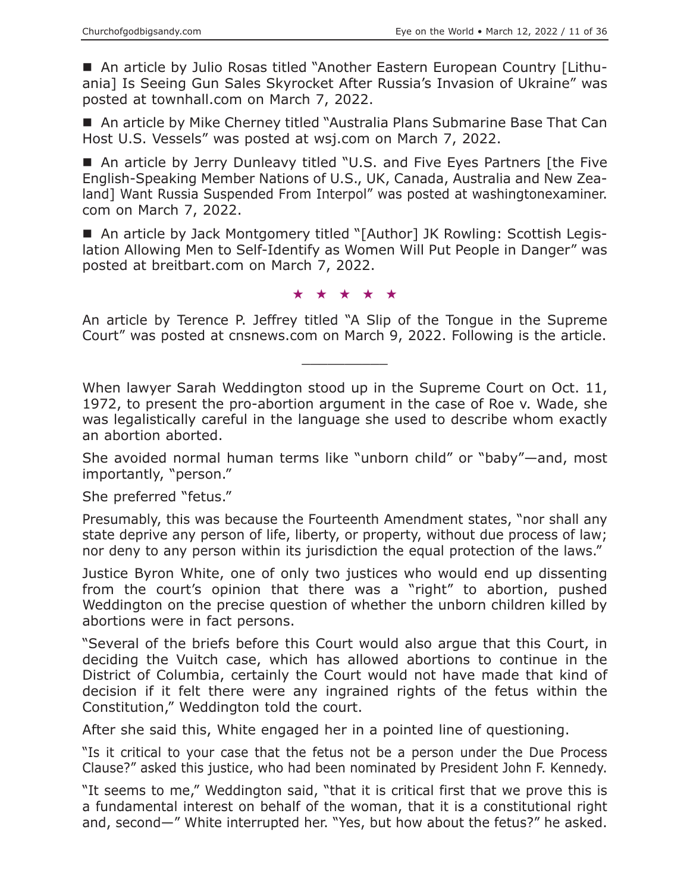An article by Julio Rosas titled "Another Eastern European Country [Lithuania] Is Seeing Gun Sales Skyrocket After Russia's Invasion of Ukraine" was posted at townhall.com on March 7, 2022.

■ An article by Mike Cherney titled "Australia Plans Submarine Base That Can Host U.S. Vessels" was posted at wsj.com on March 7, 2022.

■ An article by Jerry Dunleavy titled "U.S. and Five Eyes Partners [the Five English-Speaking Member Nations of U.S., UK, Canada, Australia and New Zealand] Want Russia Suspended From Interpol" was posted at washingtonexaminer. com on March 7, 2022.

■ An article by Jack Montgomery titled "[Author] JK Rowling: Scottish Legislation Allowing Men to Self-Identify as Women Will Put People in Danger" was posted at breitbart.com on March 7, 2022.

★★★★★

An article by Terence P. Jeffrey titled "A Slip of the Tongue in the Supreme Court" was posted at cnsnews.com on March 9, 2022. Following is the article.

 $\overline{\phantom{a}}$  , where  $\overline{\phantom{a}}$ 

When lawyer Sarah Weddington stood up in the Supreme Court on Oct. 11, 1972, to present the pro-abortion argument in the case of Roe v. Wade, she was legalistically careful in the language she used to describe whom exactly an abortion aborted.

She avoided normal human terms like "unborn child" or "baby"—and, most importantly, "person."

She preferred "fetus."

Presumably, this was because the Fourteenth Amendment states, "nor shall any state deprive any person of life, liberty, or property, without due process of law; nor deny to any person within its jurisdiction the equal protection of the laws."

Justice Byron White, one of only two justices who would end up dissenting from the court's opinion that there was a "right" to abortion, pushed Weddington on the precise question of whether the unborn children killed by abortions were in fact persons.

"Several of the briefs before this Court would also argue that this Court, in deciding the Vuitch case, which has allowed abortions to continue in the District of Columbia, certainly the Court would not have made that kind of decision if it felt there were any ingrained rights of the fetus within the Constitution," Weddington told the court.

After she said this, White engaged her in a pointed line of questioning.

"Is it critical to your case that the fetus not be a person under the Due Process Clause?" asked this justice, who had been nominated by President John F. Kennedy.

"It seems to me," Weddington said, "that it is critical first that we prove this is a fundamental interest on behalf of the woman, that it is a constitutional right and, second—" White interrupted her. "Yes, but how about the fetus?" he asked.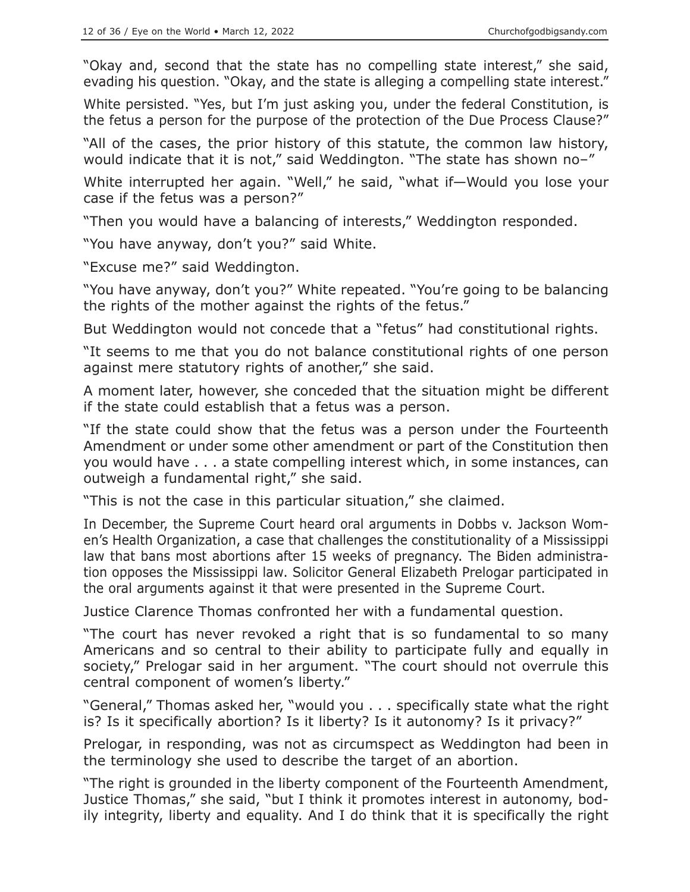"Okay and, second that the state has no compelling state interest," she said, evading his question. "Okay, and the state is alleging a compelling state interest."

White persisted. "Yes, but I'm just asking you, under the federal Constitution, is the fetus a person for the purpose of the protection of the Due Process Clause?"

"All of the cases, the prior history of this statute, the common law history, would indicate that it is not," said Weddington. "The state has shown no–"

White interrupted her again. "Well," he said, "what if—Would you lose your case if the fetus was a person?"

"Then you would have a balancing of interests," Weddington responded.

"You have anyway, don't you?" said White.

"Excuse me?" said Weddington.

"You have anyway, don't you?" White repeated. "You're going to be balancing the rights of the mother against the rights of the fetus."

But Weddington would not concede that a "fetus" had constitutional rights.

"It seems to me that you do not balance constitutional rights of one person against mere statutory rights of another," she said.

A moment later, however, she conceded that the situation might be different if the state could establish that a fetus was a person.

"If the state could show that the fetus was a person under the Fourteenth Amendment or under some other amendment or part of the Constitution then you would have . . . a state compelling interest which, in some instances, can outweigh a fundamental right," she said.

"This is not the case in this particular situation," she claimed.

In December, the Supreme Court heard oral arguments in Dobbs v. Jackson Women's Health Organization, a case that challenges the constitutionality of a Mississippi law that bans most abortions after 15 weeks of pregnancy. The Biden administration opposes the Mississippi law. Solicitor General Elizabeth Prelogar participated in the oral arguments against it that were presented in the Supreme Court.

Justice Clarence Thomas confronted her with a fundamental question.

"The court has never revoked a right that is so fundamental to so many Americans and so central to their ability to participate fully and equally in society," Prelogar said in her argument. "The court should not overrule this central component of women's liberty."

"General," Thomas asked her, "would you . . . specifically state what the right is? Is it specifically abortion? Is it liberty? Is it autonomy? Is it privacy?"

Prelogar, in responding, was not as circumspect as Weddington had been in the terminology she used to describe the target of an abortion.

"The right is grounded in the liberty component of the Fourteenth Amendment, Justice Thomas," she said, "but I think it promotes interest in autonomy, bodily integrity, liberty and equality. And I do think that it is specifically the right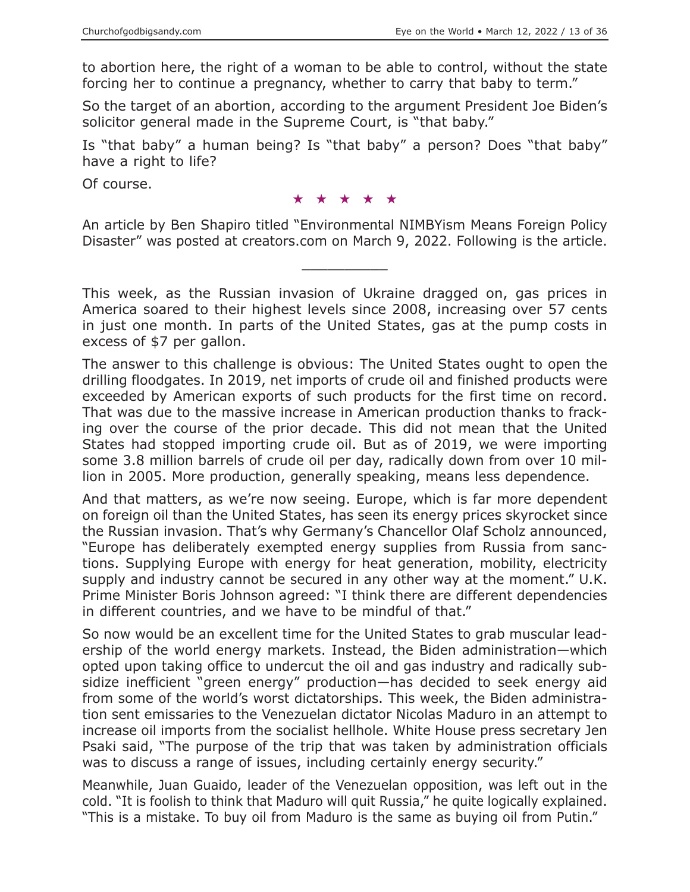to abortion here, the right of a woman to be able to control, without the state forcing her to continue a pregnancy, whether to carry that baby to term."

So the target of an abortion, according to the argument President Joe Biden's solicitor general made in the Supreme Court, is "that baby."

Is "that baby" a human being? Is "that baby" a person? Does "that baby" have a right to life?

Of course.

★★★★★

An article by Ben Shapiro titled "Environmental NIMBYism Means Foreign Policy Disaster" was posted at creators.com on March 9, 2022. Following is the article.

 $\overline{\phantom{a}}$  , where  $\overline{\phantom{a}}$ 

This week, as the Russian invasion of Ukraine dragged on, gas prices in America soared to their highest levels since 2008, increasing over 57 cents in just one month. In parts of the United States, gas at the pump costs in excess of \$7 per gallon.

The answer to this challenge is obvious: The United States ought to open the drilling floodgates. In 2019, net imports of crude oil and finished products were exceeded by American exports of such products for the first time on record. That was due to the massive increase in American production thanks to fracking over the course of the prior decade. This did not mean that the United States had stopped importing crude oil. But as of 2019, we were importing some 3.8 million barrels of crude oil per day, radically down from over 10 million in 2005. More production, generally speaking, means less dependence.

And that matters, as we're now seeing. Europe, which is far more dependent on foreign oil than the United States, has seen its energy prices skyrocket since the Russian invasion. That's why Germany's Chancellor Olaf Scholz announced, "Europe has deliberately exempted energy supplies from Russia from sanctions. Supplying Europe with energy for heat generation, mobility, electricity supply and industry cannot be secured in any other way at the moment." U.K. Prime Minister Boris Johnson agreed: "I think there are different dependencies in different countries, and we have to be mindful of that."

So now would be an excellent time for the United States to grab muscular leadership of the world energy markets. Instead, the Biden administration—which opted upon taking office to undercut the oil and gas industry and radically subsidize inefficient "green energy" production—has decided to seek energy aid from some of the world's worst dictatorships. This week, the Biden administration sent emissaries to the Venezuelan dictator Nicolas Maduro in an attempt to increase oil imports from the socialist hellhole. White House press secretary Jen Psaki said, "The purpose of the trip that was taken by administration officials was to discuss a range of issues, including certainly energy security."

Meanwhile, Juan Guaido, leader of the Venezuelan opposition, was left out in the cold. "It is foolish to think that Maduro will quit Russia," he quite logically explained. "This is a mistake. To buy oil from Maduro is the same as buying oil from Putin."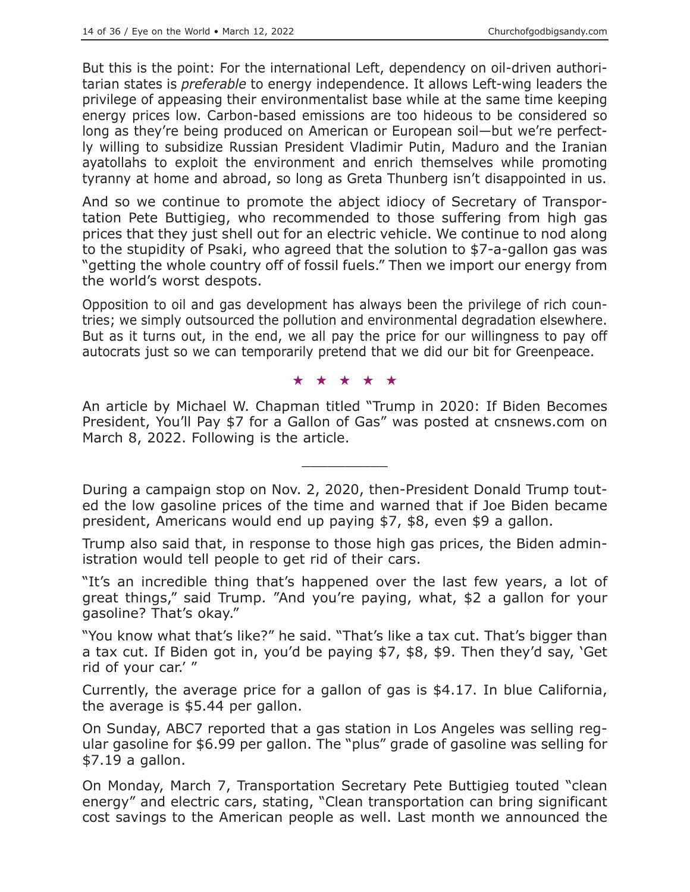But this is the point: For the international Left, dependency on oil-driven authoritarian states is *preferable* to energy independence. It allows Left-wing leaders the privilege of appeasing their environmentalist base while at the same time keeping energy prices low. Carbon-based emissions are too hideous to be considered so long as they're being produced on American or European soil—but we're perfectly willing to subsidize Russian President Vladimir Putin, Maduro and the Iranian ayatollahs to exploit the environment and enrich themselves while promoting tyranny at home and abroad, so long as Greta Thunberg isn't disappointed in us.

And so we continue to promote the abject idiocy of Secretary of Transportation Pete Buttigieg, who recommended to those suffering from high gas prices that they just shell out for an electric vehicle. We continue to nod along to the stupidity of Psaki, who agreed that the solution to \$7-a-gallon gas was "getting the whole country off of fossil fuels." Then we import our energy from the world's worst despots.

Opposition to oil and gas development has always been the privilege of rich countries; we simply outsourced the pollution and environmental degradation elsewhere. But as it turns out, in the end, we all pay the price for our willingness to pay off autocrats just so we can temporarily pretend that we did our bit for Greenpeace.

#### ★★★★★

An article by Michael W. Chapman titled "Trump in 2020: If Biden Becomes President, You'll Pay \$7 for a Gallon of Gas" was posted at cnsnews.com on March 8, 2022. Following is the article.

 $\overline{\phantom{a}}$  , where  $\overline{\phantom{a}}$ 

During a campaign stop on Nov. 2, 2020, then-President Donald Trump touted the low gasoline prices of the time and warned that if Joe Biden became president, Americans would end up paying \$7, \$8, even \$9 a gallon.

Trump also said that, in response to those high gas prices, the Biden administration would tell people to get rid of their cars.

"It's an incredible thing that's happened over the last few years, a lot of great things," said Trump. "And you're paying, what, \$2 a gallon for your gasoline? That's okay."

"You know what that's like?" he said. "That's like a tax cut. That's bigger than a tax cut. If Biden got in, you'd be paying \$7, \$8, \$9. Then they'd say, 'Get rid of your car.' "

Currently, the average price for a gallon of gas is \$4.17. In blue California, the average is \$5.44 per gallon.

On Sunday, ABC7 reported that a gas station in Los Angeles was selling regular gasoline for \$6.99 per gallon. The "plus" grade of gasoline was selling for \$7.19 a gallon.

On Monday, March 7, Transportation Secretary Pete Buttigieg touted "clean energy" and electric cars, stating, "Clean transportation can bring significant cost savings to the American people as well. Last month we announced the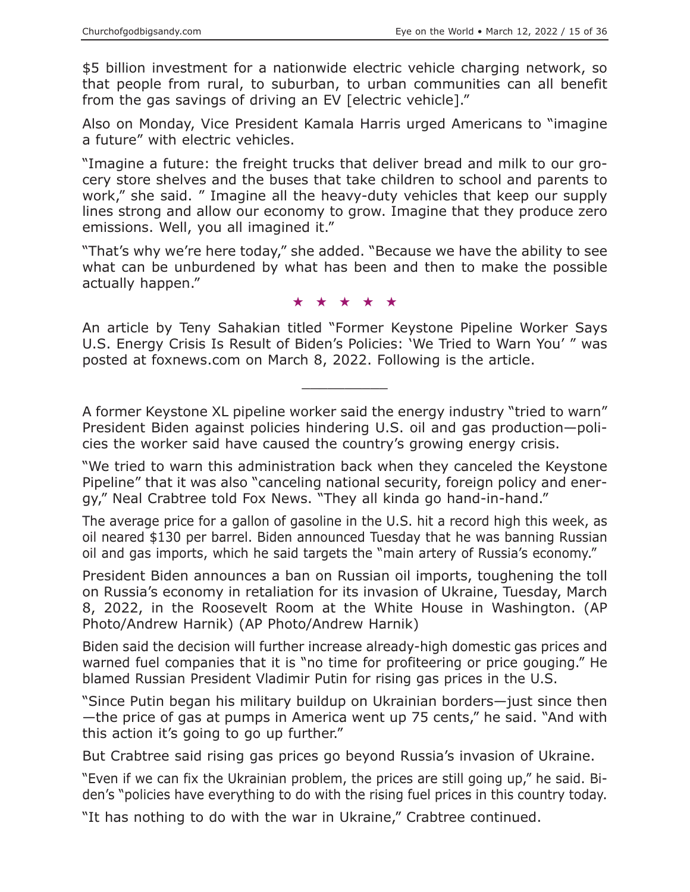\$5 billion investment for a nationwide electric vehicle charging network, so that people from rural, to suburban, to urban communities can all benefit from the gas savings of driving an EV [electric vehicle]."

Also on Monday, Vice President Kamala Harris urged Americans to "imagine a future" with electric vehicles.

"Imagine a future: the freight trucks that deliver bread and milk to our grocery store shelves and the buses that take children to school and parents to work," she said. " Imagine all the heavy-duty vehicles that keep our supply lines strong and allow our economy to grow. Imagine that they produce zero emissions. Well, you all imagined it."

"That's why we're here today," she added. "Because we have the ability to see what can be unburdened by what has been and then to make the possible actually happen."

#### ★★★★★

An article by Teny Sahakian titled "Former Keystone Pipeline Worker Says U.S. Energy Crisis Is Result of Biden's Policies: 'We Tried to Warn You' " was posted at foxnews.com on March 8, 2022. Following is the article.

 $\overline{\phantom{a}}$  , where  $\overline{\phantom{a}}$ 

A former Keystone XL pipeline worker said the energy industry "tried to warn" President Biden against policies hindering U.S. oil and gas production—policies the worker said have caused the country's growing energy crisis.

"We tried to warn this administration back when they canceled the Keystone Pipeline" that it was also "canceling national security, foreign policy and energy," Neal Crabtree told Fox News. "They all kinda go hand-in-hand."

The average price for a gallon of gasoline in the U.S. hit a record high this week, as oil neared \$130 per barrel. Biden announced Tuesday that he was banning Russian oil and gas imports, which he said targets the "main artery of Russia's economy."

President Biden announces a ban on Russian oil imports, toughening the toll on Russia's economy in retaliation for its invasion of Ukraine, Tuesday, March 8, 2022, in the Roosevelt Room at the White House in Washington. (AP Photo/Andrew Harnik) (AP Photo/Andrew Harnik)

Biden said the decision will further increase already-high domestic gas prices and warned fuel companies that it is "no time for profiteering or price gouging." He blamed Russian President Vladimir Putin for rising gas prices in the U.S.

"Since Putin began his military buildup on Ukrainian borders—just since then —the price of gas at pumps in America went up 75 cents," he said. "And with this action it's going to go up further."

But Crabtree said rising gas prices go beyond Russia's invasion of Ukraine.

"Even if we can fix the Ukrainian problem, the prices are still going up," he said. Biden's "policies have everything to do with the rising fuel prices in this country today.

"It has nothing to do with the war in Ukraine," Crabtree continued.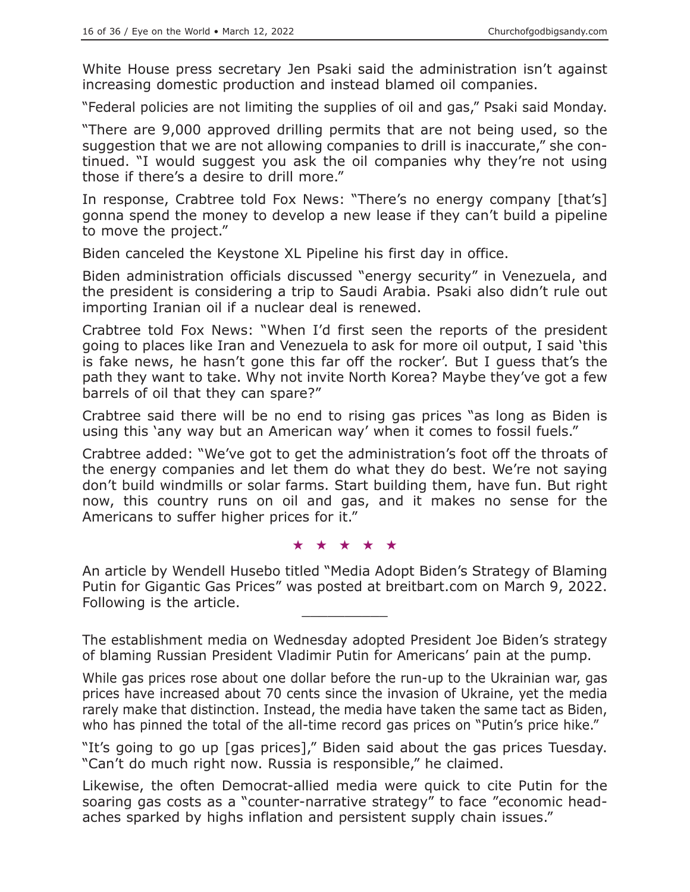White House press secretary Jen Psaki said the administration isn't against increasing domestic production and instead blamed oil companies.

"Federal policies are not limiting the supplies of oil and gas," Psaki said Monday.

"There are 9,000 approved drilling permits that are not being used, so the suggestion that we are not allowing companies to drill is inaccurate," she continued. "I would suggest you ask the oil companies why they're not using those if there's a desire to drill more."

In response, Crabtree told Fox News: "There's no energy company [that's] gonna spend the money to develop a new lease if they can't build a pipeline to move the project."

Biden canceled the Keystone XL Pipeline his first day in office.

Biden administration officials discussed "energy security" in Venezuela, and the president is considering a trip to Saudi Arabia. Psaki also didn't rule out importing Iranian oil if a nuclear deal is renewed.

Crabtree told Fox News: "When I'd first seen the reports of the president going to places like Iran and Venezuela to ask for more oil output, I said 'this is fake news, he hasn't gone this far off the rocker'. But I guess that's the path they want to take. Why not invite North Korea? Maybe they've got a few barrels of oil that they can spare?"

Crabtree said there will be no end to rising gas prices "as long as Biden is using this 'any way but an American way' when it comes to fossil fuels."

Crabtree added: "We've got to get the administration's foot off the throats of the energy companies and let them do what they do best. We're not saying don't build windmills or solar farms. Start building them, have fun. But right now, this country runs on oil and gas, and it makes no sense for the Americans to suffer higher prices for it."

★★★★★

An article by Wendell Husebo titled "Media Adopt Biden's Strategy of Blaming Putin for Gigantic Gas Prices" was posted at breitbart.com on March 9, 2022. Following is the article.

The establishment media on Wednesday adopted President Joe Biden's strategy of blaming Russian President Vladimir Putin for Americans' pain at the pump.

While gas prices rose about one dollar before the run-up to the Ukrainian war, gas prices have increased about 70 cents since the invasion of Ukraine, yet the media rarely make that distinction. Instead, the media have taken the same tact as Biden, who has pinned the total of the all-time record gas prices on "Putin's price hike."

"It's going to go up [gas prices]," Biden said about the gas prices Tuesday. "Can't do much right now. Russia is responsible," he claimed.

Likewise, the often Democrat-allied media were quick to cite Putin for the soaring gas costs as a "counter-narrative strategy" to face "economic headaches sparked by highs inflation and persistent supply chain issues."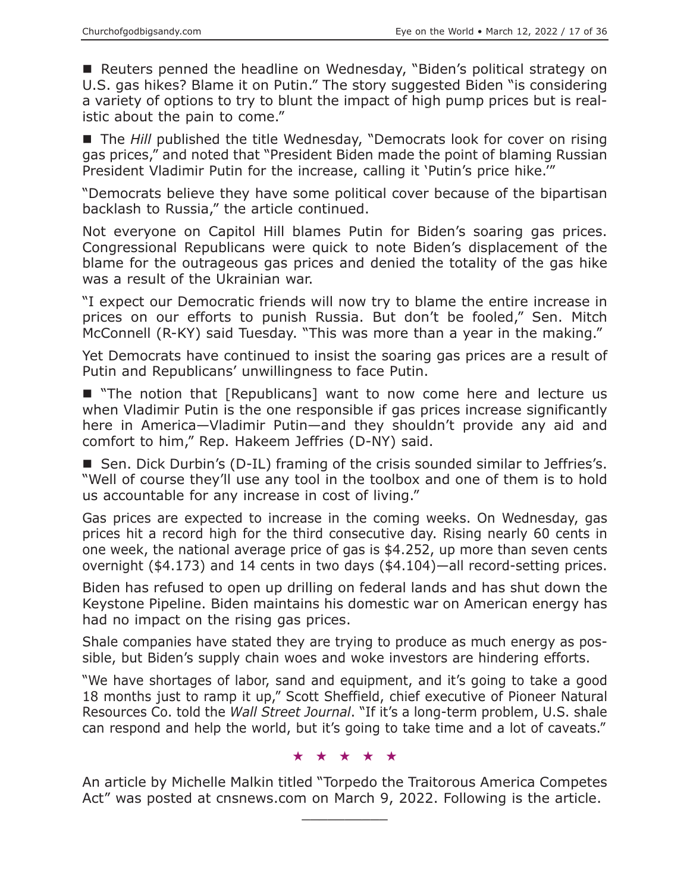■ Reuters penned the headline on Wednesday, "Biden's political strategy on U.S. gas hikes? Blame it on Putin." The story suggested Biden "is considering a variety of options to try to blunt the impact of high pump prices but is realistic about the pain to come."

■ The *Hill* published the title Wednesday, "Democrats look for cover on rising gas prices," and noted that "President Biden made the point of blaming Russian President Vladimir Putin for the increase, calling it 'Putin's price hike.'"

"Democrats believe they have some political cover because of the bipartisan backlash to Russia," the article continued.

Not everyone on Capitol Hill blames Putin for Biden's soaring gas prices. Congressional Republicans were quick to note Biden's displacement of the blame for the outrageous gas prices and denied the totality of the gas hike was a result of the Ukrainian war.

"I expect our Democratic friends will now try to blame the entire increase in prices on our efforts to punish Russia. But don't be fooled," Sen. Mitch McConnell (R-KY) said Tuesday. "This was more than a year in the making."

Yet Democrats have continued to insist the soaring gas prices are a result of Putin and Republicans' unwillingness to face Putin.

■ "The notion that [Republicans] want to now come here and lecture us when Vladimir Putin is the one responsible if gas prices increase significantly here in America—Vladimir Putin—and they shouldn't provide any aid and comfort to him," Rep. Hakeem Jeffries (D-NY) said.

■ Sen. Dick Durbin's (D-IL) framing of the crisis sounded similar to Jeffries's. "Well of course they'll use any tool in the toolbox and one of them is to hold us accountable for any increase in cost of living."

Gas prices are expected to increase in the coming weeks. On Wednesday, gas prices hit a record high for the third consecutive day. Rising nearly 60 cents in one week, the national average price of gas is \$4.252, up more than seven cents overnight (\$4.173) and 14 cents in two days (\$4.104)—all record-setting prices.

Biden has refused to open up drilling on federal lands and has shut down the Keystone Pipeline. Biden maintains his domestic war on American energy has had no impact on the rising gas prices.

Shale companies have stated they are trying to produce as much energy as possible, but Biden's supply chain woes and woke investors are hindering efforts.

"We have shortages of labor, sand and equipment, and it's going to take a good 18 months just to ramp it up," Scott Sheffield, chief executive of Pioneer Natural Resources Co. told the *Wall Street Journal*. "If it's a long-term problem, U.S. shale can respond and help the world, but it's going to take time and a lot of caveats."

#### ★★★★★

An article by Michelle Malkin titled "Torpedo the Traitorous America Competes Act" was posted at cnsnews.com on March 9, 2022. Following is the article.

 $\overline{\phantom{a}}$  , where  $\overline{\phantom{a}}$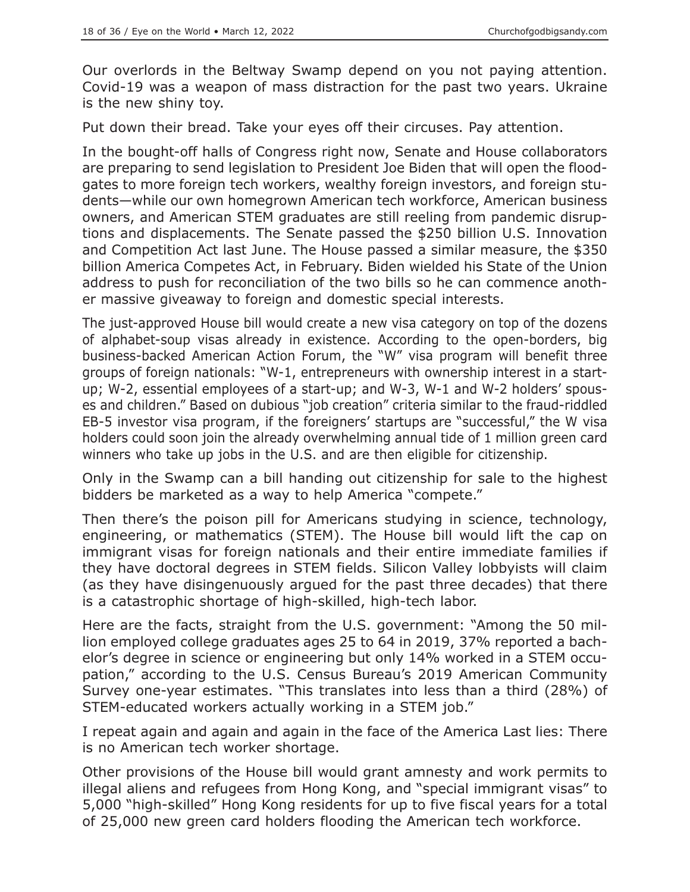Our overlords in the Beltway Swamp depend on you not paying attention. Covid-19 was a weapon of mass distraction for the past two years. Ukraine is the new shiny toy.

Put down their bread. Take your eyes off their circuses. Pay attention.

In the bought-off halls of Congress right now, Senate and House collaborators are preparing to send legislation to President Joe Biden that will open the floodgates to more foreign tech workers, wealthy foreign investors, and foreign students—while our own homegrown American tech workforce, American business owners, and American STEM graduates are still reeling from pandemic disruptions and displacements. The Senate passed the \$250 billion U.S. Innovation and Competition Act last June. The House passed a similar measure, the \$350 billion America Competes Act, in February. Biden wielded his State of the Union address to push for reconciliation of the two bills so he can commence another massive giveaway to foreign and domestic special interests.

The just-approved House bill would create a new visa category on top of the dozens of alphabet-soup visas already in existence. According to the open-borders, big business-backed American Action Forum, the "W" visa program will benefit three groups of foreign nationals: "W-1, entrepreneurs with ownership interest in a startup; W-2, essential employees of a start-up; and W-3, W-1 and W-2 holders' spouses and children." Based on dubious "job creation" criteria similar to the fraud-riddled EB-5 investor visa program, if the foreigners' startups are "successful," the W visa holders could soon join the already overwhelming annual tide of 1 million green card winners who take up jobs in the U.S. and are then eligible for citizenship.

Only in the Swamp can a bill handing out citizenship for sale to the highest bidders be marketed as a way to help America "compete."

Then there's the poison pill for Americans studying in science, technology, engineering, or mathematics (STEM). The House bill would lift the cap on immigrant visas for foreign nationals and their entire immediate families if they have doctoral degrees in STEM fields. Silicon Valley lobbyists will claim (as they have disingenuously argued for the past three decades) that there is a catastrophic shortage of high-skilled, high-tech labor.

Here are the facts, straight from the U.S. government: "Among the 50 million employed college graduates ages 25 to 64 in 2019, 37% reported a bachelor's degree in science or engineering but only 14% worked in a STEM occupation," according to the U.S. Census Bureau's 2019 American Community Survey one-year estimates. "This translates into less than a third (28%) of STEM-educated workers actually working in a STEM job."

I repeat again and again and again in the face of the America Last lies: There is no American tech worker shortage.

Other provisions of the House bill would grant amnesty and work permits to illegal aliens and refugees from Hong Kong, and "special immigrant visas" to 5,000 "high-skilled" Hong Kong residents for up to five fiscal years for a total of 25,000 new green card holders flooding the American tech workforce.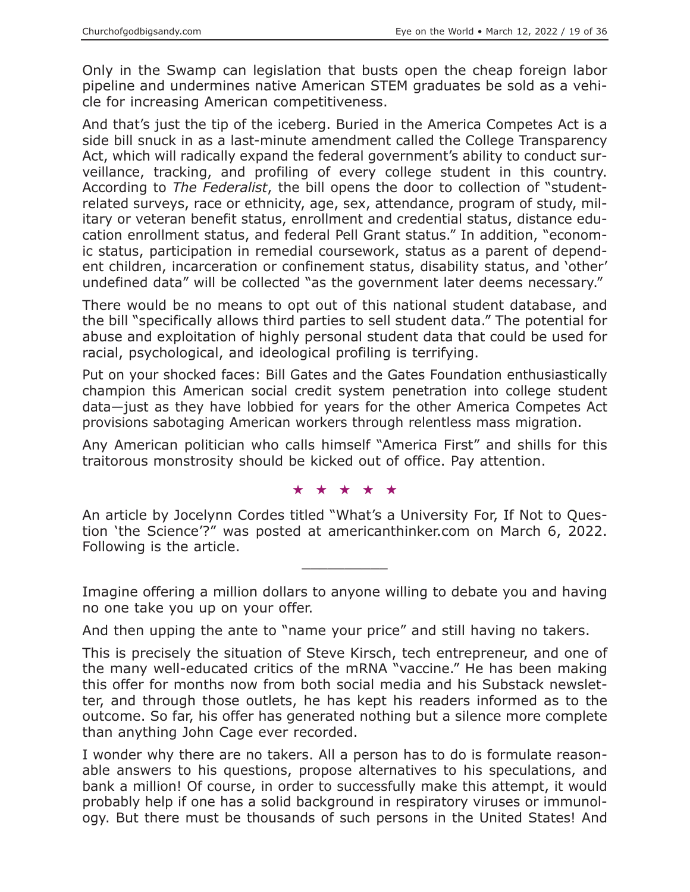Only in the Swamp can legislation that busts open the cheap foreign labor pipeline and undermines native American STEM graduates be sold as a vehicle for increasing American competitiveness.

And that's just the tip of the iceberg. Buried in the America Competes Act is a side bill snuck in as a last-minute amendment called the College Transparency Act, which will radically expand the federal government's ability to conduct surveillance, tracking, and profiling of every college student in this country. According to *The Federalist*, the bill opens the door to collection of "studentrelated surveys, race or ethnicity, age, sex, attendance, program of study, military or veteran benefit status, enrollment and credential status, distance education enrollment status, and federal Pell Grant status." In addition, "economic status, participation in remedial coursework, status as a parent of dependent children, incarceration or confinement status, disability status, and 'other' undefined data" will be collected "as the government later deems necessary."

There would be no means to opt out of this national student database, and the bill "specifically allows third parties to sell student data." The potential for abuse and exploitation of highly personal student data that could be used for racial, psychological, and ideological profiling is terrifying.

Put on your shocked faces: Bill Gates and the Gates Foundation enthusiastically champion this American social credit system penetration into college student data—just as they have lobbied for years for the other America Competes Act provisions sabotaging American workers through relentless mass migration.

Any American politician who calls himself "America First" and shills for this traitorous monstrosity should be kicked out of office. Pay attention.

★★★★★

An article by Jocelynn Cordes titled "What's a University For, If Not to Question 'the Science'?" was posted at americanthinker.com on March 6, 2022. Following is the article.

 $\overline{\phantom{a}}$  , where  $\overline{\phantom{a}}$ 

Imagine offering a million dollars to anyone willing to debate you and having no one take you up on your offer.

And then upping the ante to "name your price" and still having no takers.

This is precisely the situation of Steve Kirsch, tech entrepreneur, and one of the many well-educated critics of the mRNA "vaccine." He has been making this offer for months now from both social media and his Substack newsletter, and through those outlets, he has kept his readers informed as to the outcome. So far, his offer has generated nothing but a silence more complete than anything John Cage ever recorded.

I wonder why there are no takers. All a person has to do is formulate reasonable answers to his questions, propose alternatives to his speculations, and bank a million! Of course, in order to successfully make this attempt, it would probably help if one has a solid background in respiratory viruses or immunology. But there must be thousands of such persons in the United States! And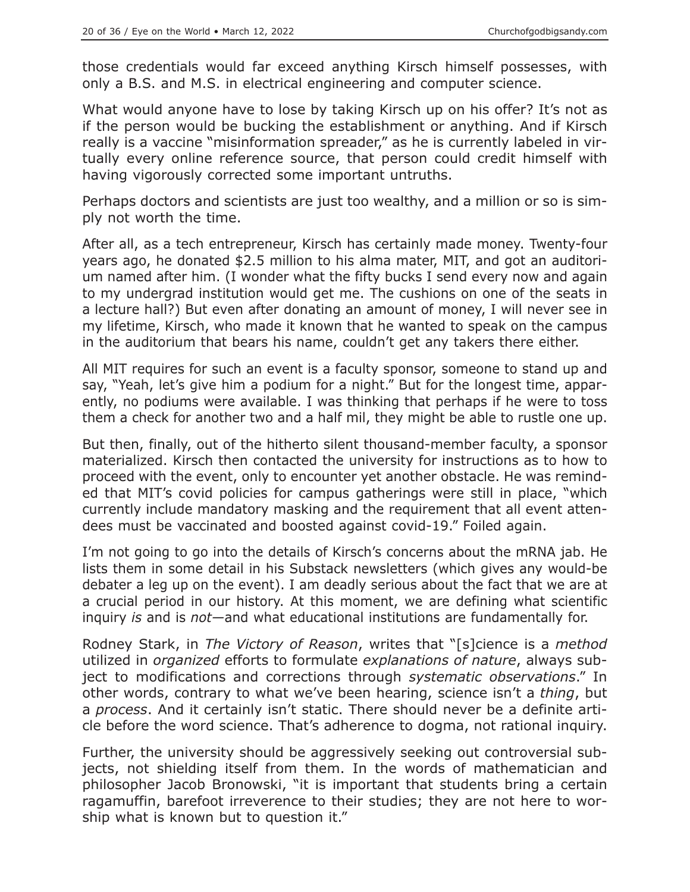those credentials would far exceed anything Kirsch himself possesses, with only a B.S. and M.S. in electrical engineering and computer science.

What would anyone have to lose by taking Kirsch up on his offer? It's not as if the person would be bucking the establishment or anything. And if Kirsch really is a vaccine "misinformation spreader," as he is currently labeled in virtually every online reference source, that person could credit himself with having vigorously corrected some important untruths.

Perhaps doctors and scientists are just too wealthy, and a million or so is simply not worth the time.

After all, as a tech entrepreneur, Kirsch has certainly made money. Twenty-four years ago, he donated \$2.5 million to his alma mater, MIT, and got an auditorium named after him. (I wonder what the fifty bucks I send every now and again to my undergrad institution would get me. The cushions on one of the seats in a lecture hall?) But even after donating an amount of money, I will never see in my lifetime, Kirsch, who made it known that he wanted to speak on the campus in the auditorium that bears his name, couldn't get any takers there either.

All MIT requires for such an event is a faculty sponsor, someone to stand up and say, "Yeah, let's give him a podium for a night." But for the longest time, apparently, no podiums were available. I was thinking that perhaps if he were to toss them a check for another two and a half mil, they might be able to rustle one up.

But then, finally, out of the hitherto silent thousand-member faculty, a sponsor materialized. Kirsch then contacted the university for instructions as to how to proceed with the event, only to encounter yet another obstacle. He was reminded that MIT's covid policies for campus gatherings were still in place, "which currently include mandatory masking and the requirement that all event attendees must be vaccinated and boosted against covid-19." Foiled again.

I'm not going to go into the details of Kirsch's concerns about the mRNA jab. He lists them in some detail in his Substack newsletters (which gives any would-be debater a leg up on the event). I am deadly serious about the fact that we are at a crucial period in our history. At this moment, we are defining what scientific inquiry *is* and is *not—*and what educational institutions are fundamentally for.

Rodney Stark, in *The Victory of Reason*, writes that "[s]cience is a *method* utilized in *organized* efforts to formulate *explanations of nature*, always subject to modifications and corrections through *systematic observations*." In other words, contrary to what we've been hearing, science isn't a *thing*, but a *process*. And it certainly isn't static. There should never be a definite article before the word science. That's adherence to dogma, not rational inquiry.

Further, the university should be aggressively seeking out controversial subjects, not shielding itself from them. In the words of mathematician and philosopher Jacob Bronowski, "it is important that students bring a certain ragamuffin, barefoot irreverence to their studies; they are not here to worship what is known but to question it."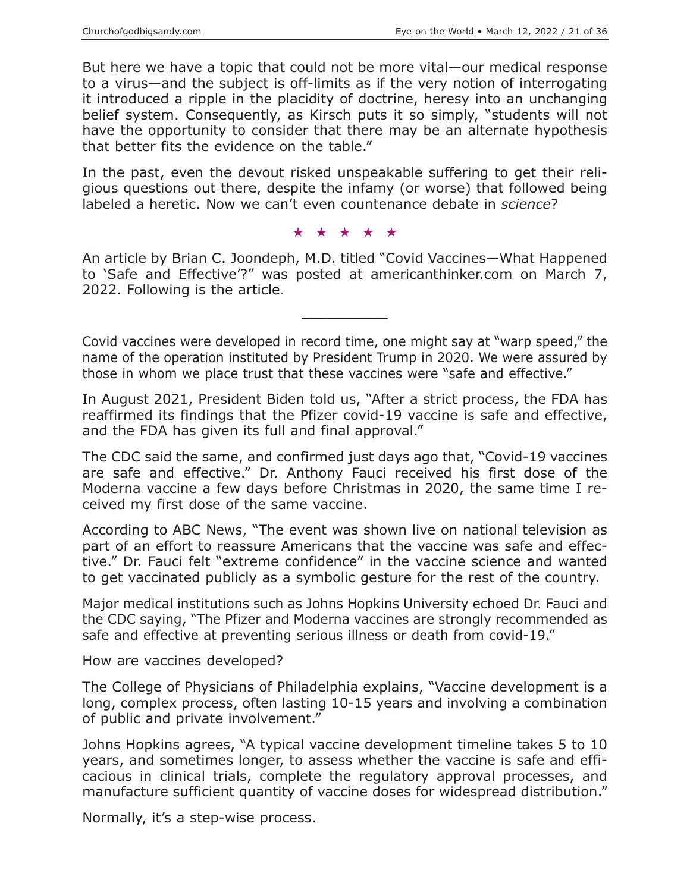But here we have a topic that could not be more vital—our medical response to a virus—and the subject is off-limits as if the very notion of interrogating it introduced a ripple in the placidity of doctrine, heresy into an unchanging belief system. Consequently, as Kirsch puts it so simply, "students will not have the opportunity to consider that there may be an alternate hypothesis that better fits the evidence on the table."

In the past, even the devout risked unspeakable suffering to get their religious questions out there, despite the infamy (or worse) that followed being labeled a heretic. Now we can't even countenance debate in *science*?

★★★★★

An article by Brian C. Joondeph, M.D. titled "Covid Vaccines—What Happened to 'Safe and Effective'?" was posted at americanthinker.com on March 7, 2022. Following is the article.

 $\overline{\phantom{a}}$  , where  $\overline{\phantom{a}}$ 

Covid vaccines were developed in record time, one might say at "warp speed," the name of the operation instituted by President Trump in 2020. We were assured by those in whom we place trust that these vaccines were "safe and effective."

In August 2021, President Biden told us, "After a strict process, the FDA has reaffirmed its findings that the Pfizer covid-19 vaccine is safe and effective, and the FDA has given its full and final approval."

The CDC said the same, and confirmed just days ago that, "Covid-19 vaccines are safe and effective." Dr. Anthony Fauci received his first dose of the Moderna vaccine a few days before Christmas in 2020, the same time I received my first dose of the same vaccine.

According to ABC News, "The event was shown live on national television as part of an effort to reassure Americans that the vaccine was safe and effective." Dr. Fauci felt "extreme confidence" in the vaccine science and wanted to get vaccinated publicly as a symbolic gesture for the rest of the country.

Major medical institutions such as Johns Hopkins University echoed Dr. Fauci and the CDC saying, "The Pfizer and Moderna vaccines are strongly recommended as safe and effective at preventing serious illness or death from covid-19."

How are vaccines developed?

The College of Physicians of Philadelphia explains, "Vaccine development is a long, complex process, often lasting 10-15 years and involving a combination of public and private involvement."

Johns Hopkins agrees, "A typical vaccine development timeline takes 5 to 10 years, and sometimes longer, to assess whether the vaccine is safe and efficacious in clinical trials, complete the regulatory approval processes, and manufacture sufficient quantity of vaccine doses for widespread distribution."

Normally, it's a step-wise process.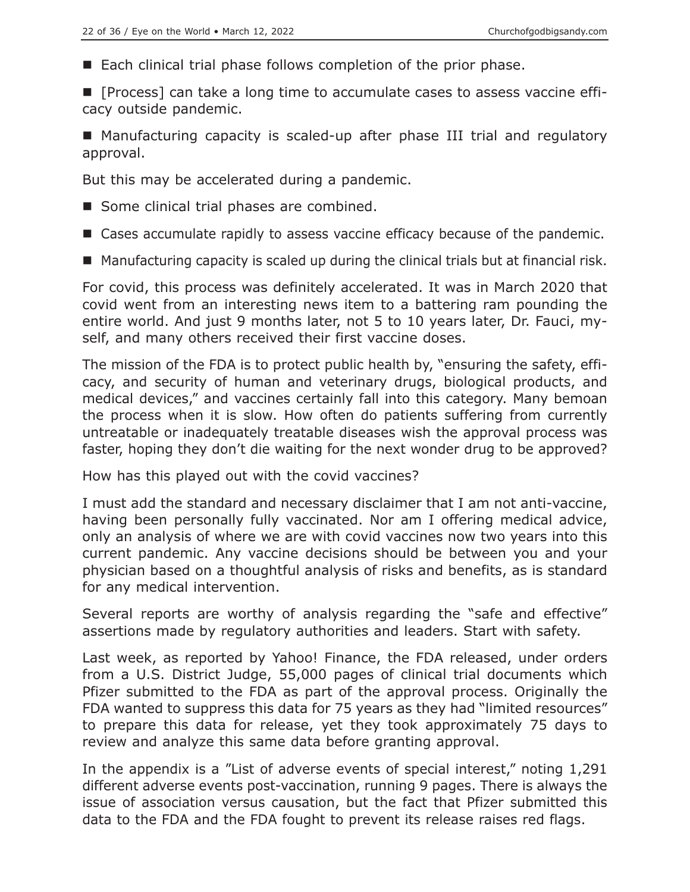■ Each clinical trial phase follows completion of the prior phase.

**F** [Process] can take a long time to accumulate cases to assess vaccine efficacy outside pandemic.

■ Manufacturing capacity is scaled-up after phase III trial and regulatory approval.

But this may be accelerated during a pandemic.

- Some clinical trial phases are combined.
- Cases accumulate rapidly to assess vaccine efficacy because of the pandemic.
- Manufacturing capacity is scaled up during the clinical trials but at financial risk.

For covid, this process was definitely accelerated. It was in March 2020 that covid went from an interesting news item to a battering ram pounding the entire world. And just 9 months later, not 5 to 10 years later, Dr. Fauci, myself, and many others received their first vaccine doses.

The mission of the FDA is to protect public health by, "ensuring the safety, efficacy, and security of human and veterinary drugs, biological products, and medical devices," and vaccines certainly fall into this category. Many bemoan the process when it is slow. How often do patients suffering from currently untreatable or inadequately treatable diseases wish the approval process was faster, hoping they don't die waiting for the next wonder drug to be approved?

How has this played out with the covid vaccines?

I must add the standard and necessary disclaimer that I am not anti-vaccine, having been personally fully vaccinated. Nor am I offering medical advice, only an analysis of where we are with covid vaccines now two years into this current pandemic. Any vaccine decisions should be between you and your physician based on a thoughtful analysis of risks and benefits, as is standard for any medical intervention.

Several reports are worthy of analysis regarding the "safe and effective" assertions made by regulatory authorities and leaders. Start with safety.

Last week, as reported by Yahoo! Finance, the FDA released, under orders from a U.S. District Judge, 55,000 pages of clinical trial documents which Pfizer submitted to the FDA as part of the approval process. Originally the FDA wanted to suppress this data for 75 years as they had "limited resources" to prepare this data for release, yet they took approximately 75 days to review and analyze this same data before granting approval.

In the appendix is a "List of adverse events of special interest," noting 1,291 different adverse events post-vaccination, running 9 pages. There is always the issue of association versus causation, but the fact that Pfizer submitted this data to the FDA and the FDA fought to prevent its release raises red flags.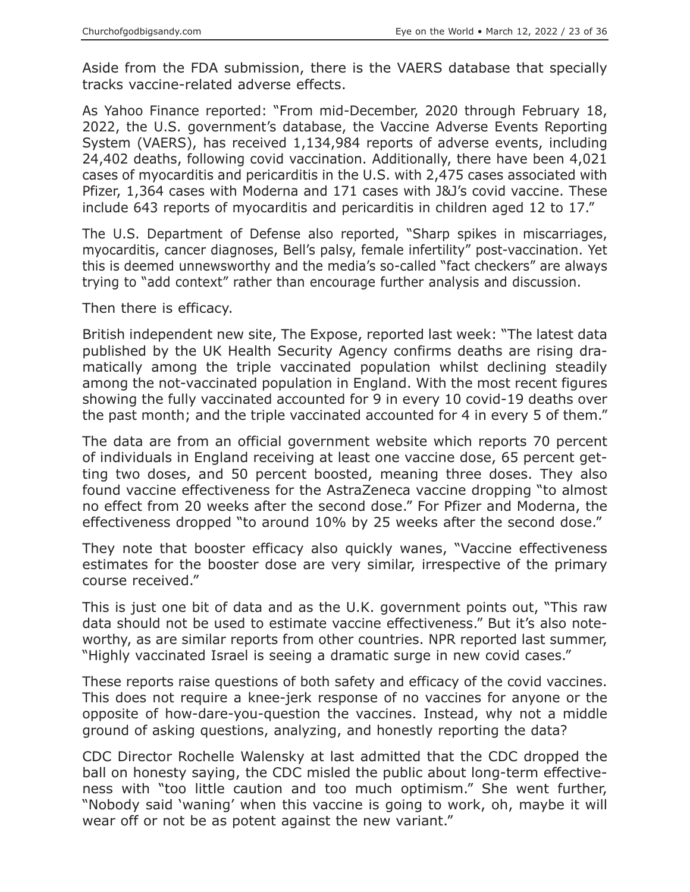Aside from the FDA submission, there is the VAERS database that specially tracks vaccine-related adverse effects.

As Yahoo Finance reported: "From mid-December, 2020 through February 18, 2022, the U.S. government's database, the Vaccine Adverse Events Reporting System (VAERS), has received 1,134,984 reports of adverse events, including 24,402 deaths, following covid vaccination. Additionally, there have been 4,021 cases of myocarditis and pericarditis in the U.S. with 2,475 cases associated with Pfizer, 1,364 cases with Moderna and 171 cases with J&J's covid vaccine. These include 643 reports of myocarditis and pericarditis in children aged 12 to 17."

The U.S. Department of Defense also reported, "Sharp spikes in miscarriages, myocarditis, cancer diagnoses, Bell's palsy, female infertility" post-vaccination. Yet this is deemed unnewsworthy and the media's so-called "fact checkers" are always trying to "add context" rather than encourage further analysis and discussion.

Then there is efficacy.

British independent new site, The Expose, reported last week: "The latest data published by the UK Health Security Agency confirms deaths are rising dramatically among the triple vaccinated population whilst declining steadily among the not-vaccinated population in England. With the most recent figures showing the fully vaccinated accounted for 9 in every 10 covid-19 deaths over the past month; and the triple vaccinated accounted for 4 in every 5 of them."

The data are from an official government website which reports 70 percent of individuals in England receiving at least one vaccine dose, 65 percent getting two doses, and 50 percent boosted, meaning three doses. They also found vaccine effectiveness for the AstraZeneca vaccine dropping "to almost no effect from 20 weeks after the second dose." For Pfizer and Moderna, the effectiveness dropped "to around 10% by 25 weeks after the second dose."

They note that booster efficacy also quickly wanes, "Vaccine effectiveness estimates for the booster dose are very similar, irrespective of the primary course received."

This is just one bit of data and as the U.K. government points out, "This raw data should not be used to estimate vaccine effectiveness." But it's also noteworthy, as are similar reports from other countries. NPR reported last summer, "Highly vaccinated Israel is seeing a dramatic surge in new covid cases."

These reports raise questions of both safety and efficacy of the covid vaccines. This does not require a knee-jerk response of no vaccines for anyone or the opposite of how-dare-you-question the vaccines. Instead, why not a middle ground of asking questions, analyzing, and honestly reporting the data?

CDC Director Rochelle Walensky at last admitted that the CDC dropped the ball on honesty saying, the CDC misled the public about long-term effectiveness with "too little caution and too much optimism." She went further, "Nobody said 'waning' when this vaccine is going to work, oh, maybe it will wear off or not be as potent against the new variant."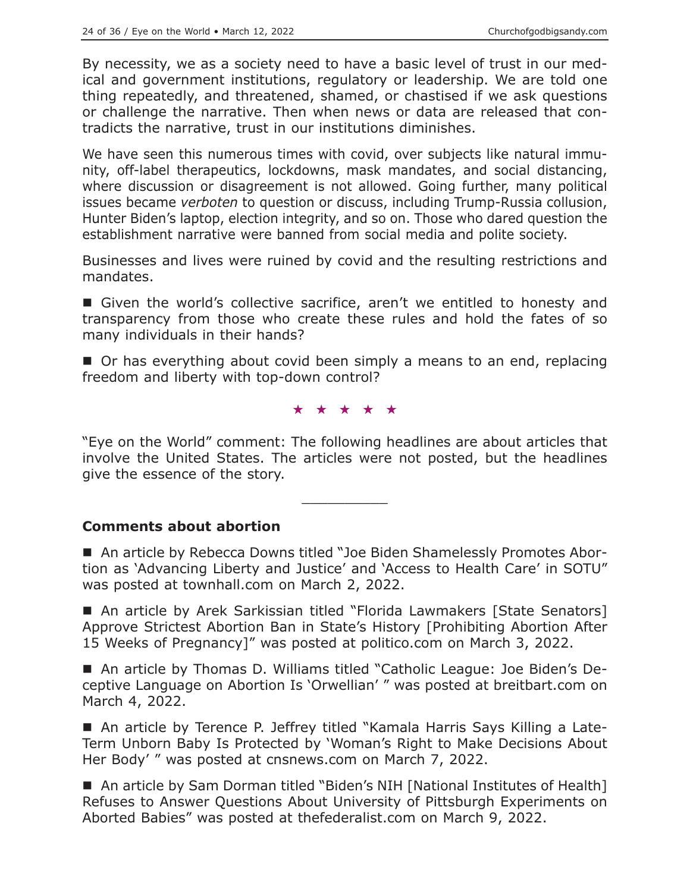By necessity, we as a society need to have a basic level of trust in our medical and government institutions, regulatory or leadership. We are told one thing repeatedly, and threatened, shamed, or chastised if we ask questions or challenge the narrative. Then when news or data are released that contradicts the narrative, trust in our institutions diminishes.

We have seen this numerous times with covid, over subjects like natural immunity, off-label therapeutics, lockdowns, mask mandates, and social distancing, where discussion or disagreement is not allowed. Going further, many political issues became *verboten* to question or discuss, including Trump-Russia collusion, Hunter Biden's laptop, election integrity, and so on. Those who dared question the establishment narrative were banned from social media and polite society.

Businesses and lives were ruined by covid and the resulting restrictions and mandates.

Given the world's collective sacrifice, aren't we entitled to honesty and transparency from those who create these rules and hold the fates of so many individuals in their hands?

■ Or has everything about covid been simply a means to an end, replacing freedom and liberty with top-down control?

★★★★★

"Eye on the World" comment: The following headlines are about articles that involve the United States. The articles were not posted, but the headlines give the essence of the story.

 $\overline{\phantom{a}}$  , where  $\overline{\phantom{a}}$ 

## **Comments about abortion**

■ An article by Rebecca Downs titled "Joe Biden Shamelessly Promotes Abortion as 'Advancing Liberty and Justice' and 'Access to Health Care' in SOTU" was posted at townhall.com on March 2, 2022.

■ An article by Arek Sarkissian titled "Florida Lawmakers [State Senators] Approve Strictest Abortion Ban in State's History [Prohibiting Abortion After 15 Weeks of Pregnancy]" was posted at politico.com on March 3, 2022.

 An article by Thomas D. Williams titled "Catholic League: Joe Biden's Deceptive Language on Abortion Is 'Orwellian' " was posted at breitbart.com on March 4, 2022.

 An article by Terence P. Jeffrey titled "Kamala Harris Says Killing a Late-Term Unborn Baby Is Protected by 'Woman's Right to Make Decisions About Her Body' " was posted at cnsnews.com on March 7, 2022.

■ An article by Sam Dorman titled "Biden's NIH [National Institutes of Health] Refuses to Answer Questions About University of Pittsburgh Experiments on Aborted Babies" was posted at thefederalist.com on March 9, 2022.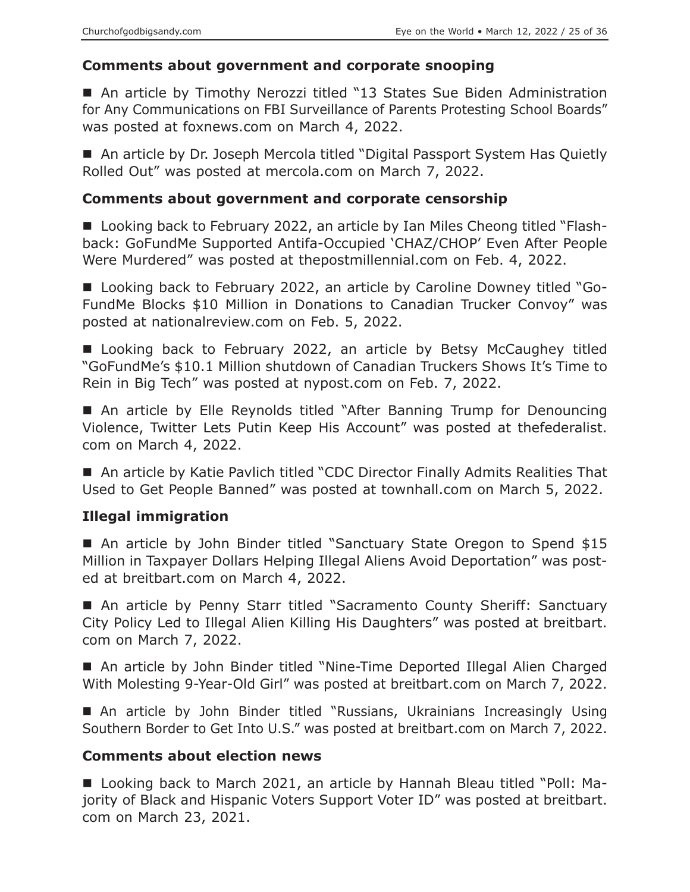## **Comments about government and corporate snooping**

■ An article by Timothy Nerozzi titled "13 States Sue Biden Administration for Any Communications on FBI Surveillance of Parents Protesting School Boards" was posted at foxnews.com on March 4, 2022.

■ An article by Dr. Joseph Mercola titled "Digital Passport System Has Quietly Rolled Out" was posted at mercola.com on March 7, 2022.

## **Comments about government and corporate censorship**

■ Looking back to February 2022, an article by Ian Miles Cheong titled "Flashback: GoFundMe Supported Antifa-Occupied 'CHAZ/CHOP' Even After People Were Murdered" was posted at thepostmillennial.com on Feb. 4, 2022.

■ Looking back to February 2022, an article by Caroline Downey titled "Go-FundMe Blocks \$10 Million in Donations to Canadian Trucker Convoy" was posted at nationalreview.com on Feb. 5, 2022.

■ Looking back to February 2022, an article by Betsy McCaughey titled "GoFundMe's \$10.1 Million shutdown of Canadian Truckers Shows It's Time to Rein in Big Tech" was posted at nypost.com on Feb. 7, 2022.

■ An article by Elle Reynolds titled "After Banning Trump for Denouncing Violence, Twitter Lets Putin Keep His Account" was posted at thefederalist. com on March 4, 2022.

■ An article by Katie Pavlich titled "CDC Director Finally Admits Realities That Used to Get People Banned" was posted at townhall.com on March 5, 2022.

## **Illegal immigration**

■ An article by John Binder titled "Sanctuary State Oregon to Spend \$15 Million in Taxpayer Dollars Helping Illegal Aliens Avoid Deportation" was posted at breitbart.com on March 4, 2022.

■ An article by Penny Starr titled "Sacramento County Sheriff: Sanctuary City Policy Led to Illegal Alien Killing His Daughters" was posted at breitbart. com on March 7, 2022.

■ An article by John Binder titled "Nine-Time Deported Illegal Alien Charged With Molesting 9-Year-Old Girl" was posted at breitbart.com on March 7, 2022.

 An article by John Binder titled "Russians, Ukrainians Increasingly Using Southern Border to Get Into U.S." was posted at breitbart.com on March 7, 2022.

## **Comments about election news**

■ Looking back to March 2021, an article by Hannah Bleau titled "Poll: Majority of Black and Hispanic Voters Support Voter ID" was posted at breitbart. com on March 23, 2021.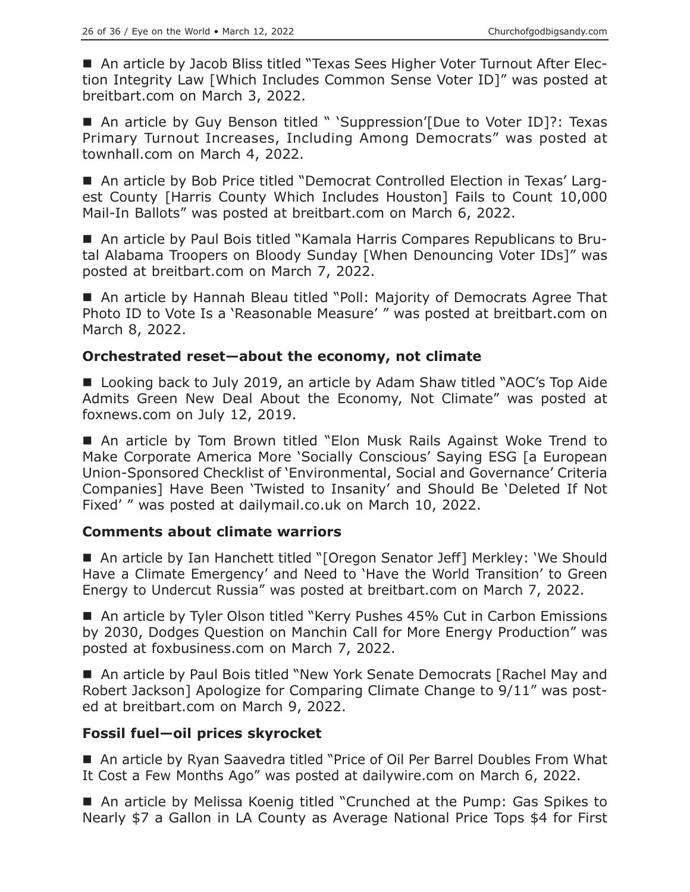■ An article by Jacob Bliss titled "Texas Sees Higher Voter Turnout After Election Integrity Law [Which Includes Common Sense Voter ID]" was posted at breitbart.com on March 3, 2022.

■ An article by Guy Benson titled " 'Suppression'[Due to Voter ID]?: Texas Primary Turnout Increases, Including Among Democrats" was posted at townhall.com on March 4, 2022.

 An article by Bob Price titled "Democrat Controlled Election in Texas' Largest County [Harris County Which Includes Houston] Fails to Count 10,000 Mail-In Ballots" was posted at breitbart.com on March 6, 2022.

 An article by Paul Bois titled "Kamala Harris Compares Republicans to Brutal Alabama Troopers on Bloody Sunday [When Denouncing Voter IDs]" was posted at breitbart.com on March 7, 2022.

■ An article by Hannah Bleau titled "Poll: Majority of Democrats Agree That Photo ID to Vote Is a 'Reasonable Measure' " was posted at breitbart.com on March 8, 2022.

## **Orchestrated reset—about the economy, not climate**

■ Looking back to July 2019, an article by Adam Shaw titled "AOC's Top Aide Admits Green New Deal About the Economy, Not Climate" was posted at foxnews.com on July 12, 2019.

 An article by Tom Brown titled "Elon Musk Rails Against Woke Trend to Make Corporate America More 'Socially Conscious' Saying ESG [a European Union-Sponsored Checklist of 'Environmental, Social and Governance' Criteria Companies] Have Been 'Twisted to Insanity' and Should Be 'Deleted If Not Fixed' " was posted at dailymail.co.uk on March 10, 2022.

## **Comments about climate warriors**

■ An article by Ian Hanchett titled "[Oregon Senator Jeff] Merkley: 'We Should Have a Climate Emergency' and Need to 'Have the World Transition' to Green Energy to Undercut Russia" was posted at breitbart.com on March 7, 2022.

■ An article by Tyler Olson titled "Kerry Pushes 45% Cut in Carbon Emissions by 2030, Dodges Question on Manchin Call for More Energy Production" was posted at foxbusiness.com on March 7, 2022.

■ An article by Paul Bois titled "New York Senate Democrats [Rachel May and Robert Jackson] Apologize for Comparing Climate Change to 9/11" was posted at breitbart.com on March 9, 2022.

## **Fossil fuel—oil prices skyrocket**

■ An article by Ryan Saavedra titled "Price of Oil Per Barrel Doubles From What It Cost a Few Months Ago" was posted at dailywire.com on March 6, 2022.

■ An article by Melissa Koenig titled "Crunched at the Pump: Gas Spikes to Nearly \$7 a Gallon in LA County as Average National Price Tops \$4 for First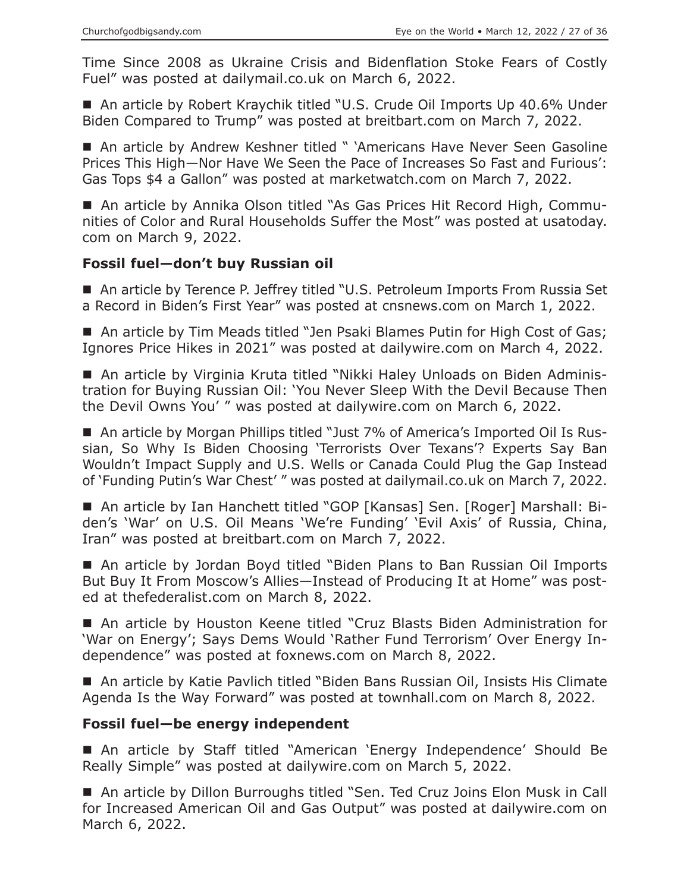Time Since 2008 as Ukraine Crisis and Bidenflation Stoke Fears of Costly Fuel" was posted at dailymail.co.uk on March 6, 2022.

■ An article by Robert Kraychik titled "U.S. Crude Oil Imports Up 40.6% Under Biden Compared to Trump" was posted at breitbart.com on March 7, 2022.

■ An article by Andrew Keshner titled " 'Americans Have Never Seen Gasoline Prices This High—Nor Have We Seen the Pace of Increases So Fast and Furious': Gas Tops \$4 a Gallon" was posted at marketwatch.com on March 7, 2022.

 An article by Annika Olson titled "As Gas Prices Hit Record High, Communities of Color and Rural Households Suffer the Most" was posted at usatoday. com on March 9, 2022.

## **Fossil fuel—don't buy Russian oil**

■ An article by Terence P. Jeffrey titled "U.S. Petroleum Imports From Russia Set a Record in Biden's First Year" was posted at cnsnews.com on March 1, 2022.

■ An article by Tim Meads titled "Jen Psaki Blames Putin for High Cost of Gas; Ignores Price Hikes in 2021" was posted at dailywire.com on March 4, 2022.

 An article by Virginia Kruta titled "Nikki Haley Unloads on Biden Administration for Buying Russian Oil: 'You Never Sleep With the Devil Because Then the Devil Owns You' " was posted at dailywire.com on March 6, 2022.

■ An article by Morgan Phillips titled "Just 7% of America's Imported Oil Is Russian, So Why Is Biden Choosing 'Terrorists Over Texans'? Experts Say Ban Wouldn't Impact Supply and U.S. Wells or Canada Could Plug the Gap Instead of 'Funding Putin's War Chest' " was posted at dailymail.co.uk on March 7, 2022.

■ An article by Ian Hanchett titled "GOP [Kansas] Sen. [Roger] Marshall: Biden's 'War' on U.S. Oil Means 'We're Funding' 'Evil Axis' of Russia, China, Iran" was posted at breitbart.com on March 7, 2022.

■ An article by Jordan Boyd titled "Biden Plans to Ban Russian Oil Imports But Buy It From Moscow's Allies—Instead of Producing It at Home" was posted at thefederalist.com on March 8, 2022.

■ An article by Houston Keene titled "Cruz Blasts Biden Administration for 'War on Energy'; Says Dems Would 'Rather Fund Terrorism' Over Energy Independence" was posted at foxnews.com on March 8, 2022.

■ An article by Katie Pavlich titled "Biden Bans Russian Oil, Insists His Climate Agenda Is the Way Forward" was posted at townhall.com on March 8, 2022.

## **Fossil fuel—be energy independent**

 An article by Staff titled "American 'Energy Independence' Should Be Really Simple" was posted at dailywire.com on March 5, 2022.

 An article by Dillon Burroughs titled "Sen. Ted Cruz Joins Elon Musk in Call for Increased American Oil and Gas Output" was posted at dailywire.com on March 6, 2022.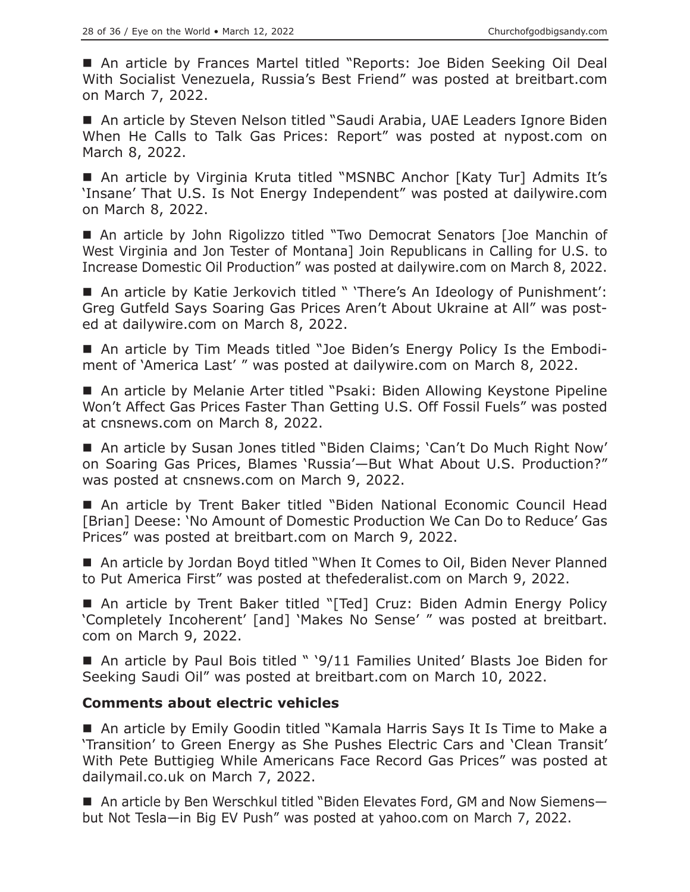An article by Frances Martel titled "Reports: Joe Biden Seeking Oil Deal With Socialist Venezuela, Russia's Best Friend" was posted at breitbart.com on March 7, 2022.

■ An article by Steven Nelson titled "Saudi Arabia, UAE Leaders Ignore Biden When He Calls to Talk Gas Prices: Report" was posted at nypost.com on March 8, 2022.

■ An article by Virginia Kruta titled "MSNBC Anchor [Katy Tur] Admits It's 'Insane' That U.S. Is Not Energy Independent" was posted at dailywire.com on March 8, 2022.

■ An article by John Rigolizzo titled "Two Democrat Senators [Joe Manchin of West Virginia and Jon Tester of Montana] Join Republicans in Calling for U.S. to Increase Domestic Oil Production" was posted at dailywire.com on March 8, 2022.

■ An article by Katie Jerkovich titled " 'There's An Ideology of Punishment': Greg Gutfeld Says Soaring Gas Prices Aren't About Ukraine at All" was posted at dailywire.com on March 8, 2022.

■ An article by Tim Meads titled "Joe Biden's Energy Policy Is the Embodiment of 'America Last' " was posted at dailywire.com on March 8, 2022.

■ An article by Melanie Arter titled "Psaki: Biden Allowing Keystone Pipeline Won't Affect Gas Prices Faster Than Getting U.S. Off Fossil Fuels" was posted at cnsnews.com on March 8, 2022.

■ An article by Susan Jones titled "Biden Claims; 'Can't Do Much Right Now' on Soaring Gas Prices, Blames 'Russia'—But What About U.S. Production?" was posted at cnsnews.com on March 9, 2022.

 An article by Trent Baker titled "Biden National Economic Council Head [Brian] Deese: 'No Amount of Domestic Production We Can Do to Reduce' Gas Prices" was posted at breitbart.com on March 9, 2022.

■ An article by Jordan Boyd titled "When It Comes to Oil, Biden Never Planned to Put America First" was posted at thefederalist.com on March 9, 2022.

■ An article by Trent Baker titled "[Ted] Cruz: Biden Admin Energy Policy 'Completely Incoherent' [and] 'Makes No Sense' " was posted at breitbart. com on March 9, 2022.

■ An article by Paul Bois titled " '9/11 Families United' Blasts Joe Biden for Seeking Saudi Oil" was posted at breitbart.com on March 10, 2022.

## **Comments about electric vehicles**

■ An article by Emily Goodin titled "Kamala Harris Says It Is Time to Make a 'Transition' to Green Energy as She Pushes Electric Cars and 'Clean Transit' With Pete Buttigieg While Americans Face Record Gas Prices" was posted at dailymail.co.uk on March 7, 2022.

■ An article by Ben Werschkul titled "Biden Elevates Ford, GM and Now Siemensbut Not Tesla—in Big EV Push" was posted at yahoo.com on March 7, 2022.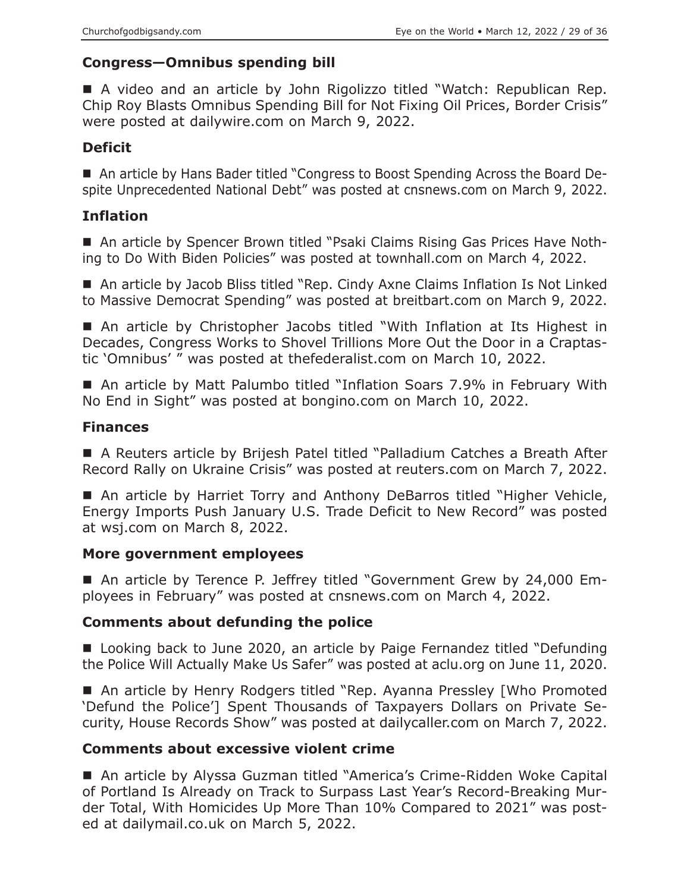# **Congress—Omnibus spending bill**

■ A video and an article by John Rigolizzo titled "Watch: Republican Rep. Chip Roy Blasts Omnibus Spending Bill for Not Fixing Oil Prices, Border Crisis" were posted at dailywire.com on March 9, 2022.

# **Deficit**

 An article by Hans Bader titled "Congress to Boost Spending Across the Board Despite Unprecedented National Debt" was posted at cnsnews.com on March 9, 2022.

# **Inflation**

 An article by Spencer Brown titled "Psaki Claims Rising Gas Prices Have Nothing to Do With Biden Policies" was posted at townhall.com on March 4, 2022.

■ An article by Jacob Bliss titled "Rep. Cindy Axne Claims Inflation Is Not Linked to Massive Democrat Spending" was posted at breitbart.com on March 9, 2022.

■ An article by Christopher Jacobs titled "With Inflation at Its Highest in Decades, Congress Works to Shovel Trillions More Out the Door in a Craptastic 'Omnibus' " was posted at thefederalist.com on March 10, 2022.

■ An article by Matt Palumbo titled "Inflation Soars 7.9% in February With No End in Sight" was posted at bongino.com on March 10, 2022.

# **Finances**

 A Reuters article by Brijesh Patel titled "Palladium Catches a Breath After Record Rally on Ukraine Crisis" was posted at reuters.com on March 7, 2022.

■ An article by Harriet Torry and Anthony DeBarros titled "Higher Vehicle, Energy Imports Push January U.S. Trade Deficit to New Record" was posted at wsj.com on March 8, 2022.

## **More government employees**

 An article by Terence P. Jeffrey titled "Government Grew by 24,000 Employees in February" was posted at cnsnews.com on March 4, 2022.

# **Comments about defunding the police**

■ Looking back to June 2020, an article by Paige Fernandez titled "Defunding the Police Will Actually Make Us Safer" was posted at aclu.org on June 11, 2020.

■ An article by Henry Rodgers titled "Rep. Ayanna Pressley [Who Promoted 'Defund the Police'] Spent Thousands of Taxpayers Dollars on Private Security, House Records Show" was posted at dailycaller.com on March 7, 2022.

# **Comments about excessive violent crime**

■ An article by Alyssa Guzman titled "America's Crime-Ridden Woke Capital of Portland Is Already on Track to Surpass Last Year's Record-Breaking Murder Total, With Homicides Up More Than 10% Compared to 2021" was posted at dailymail.co.uk on March 5, 2022.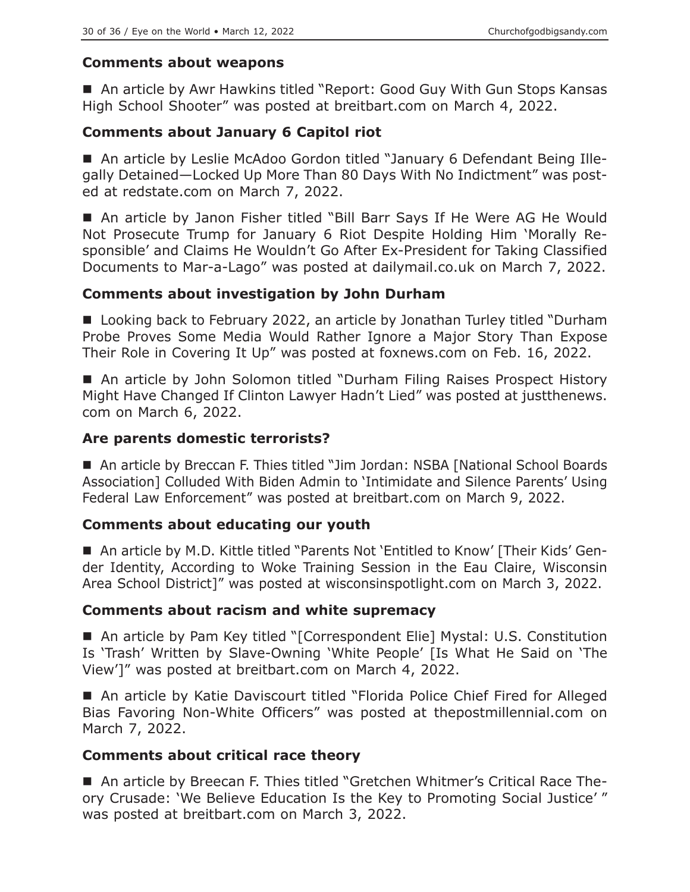## **Comments about weapons**

■ An article by Awr Hawkins titled "Report: Good Guy With Gun Stops Kansas High School Shooter" was posted at breitbart.com on March 4, 2022.

# **Comments about January 6 Capitol riot**

 An article by Leslie McAdoo Gordon titled "January 6 Defendant Being Illegally Detained—Locked Up More Than 80 Days With No Indictment" was posted at redstate.com on March 7, 2022.

 An article by Janon Fisher titled "Bill Barr Says If He Were AG He Would Not Prosecute Trump for January 6 Riot Despite Holding Him 'Morally Responsible' and Claims He Wouldn't Go After Ex-President for Taking Classified Documents to Mar-a-Lago" was posted at dailymail.co.uk on March 7, 2022.

# **Comments about investigation by John Durham**

■ Looking back to February 2022, an article by Jonathan Turley titled "Durham Probe Proves Some Media Would Rather Ignore a Major Story Than Expose Their Role in Covering It Up" was posted at foxnews.com on Feb. 16, 2022.

■ An article by John Solomon titled "Durham Filing Raises Prospect History Might Have Changed If Clinton Lawyer Hadn't Lied" was posted at justthenews. com on March 6, 2022.

## **Are parents domestic terrorists?**

■ An article by Breccan F. Thies titled "Jim Jordan: NSBA [National School Boards Association] Colluded With Biden Admin to 'Intimidate and Silence Parents' Using Federal Law Enforcement" was posted at breitbart.com on March 9, 2022.

## **Comments about educating our youth**

■ An article by M.D. Kittle titled "Parents Not 'Entitled to Know' [Their Kids' Gender Identity, According to Woke Training Session in the Eau Claire, Wisconsin Area School District]" was posted at wisconsinspotlight.com on March 3, 2022.

## **Comments about racism and white supremacy**

 An article by Pam Key titled "[Correspondent Elie] Mystal: U.S. Constitution Is 'Trash' Written by Slave-Owning 'White People' [Is What He Said on 'The View']" was posted at breitbart.com on March 4, 2022.

■ An article by Katie Daviscourt titled "Florida Police Chief Fired for Alleged Bias Favoring Non-White Officers" was posted at thepostmillennial.com on March 7, 2022.

## **Comments about critical race theory**

■ An article by Breecan F. Thies titled "Gretchen Whitmer's Critical Race Theory Crusade: 'We Believe Education Is the Key to Promoting Social Justice' " was posted at breitbart.com on March 3, 2022.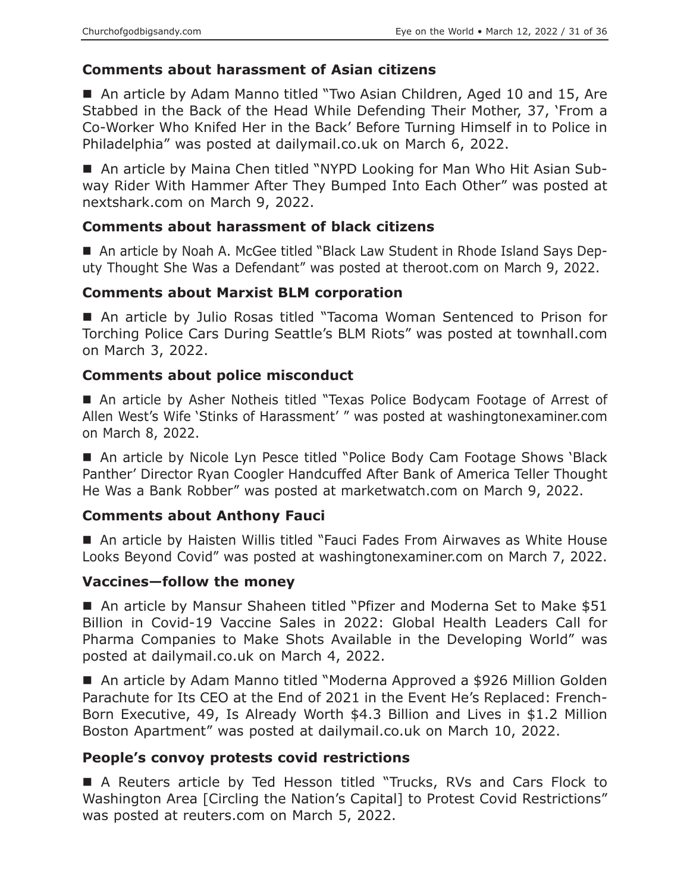# **Comments about harassment of Asian citizens**

■ An article by Adam Manno titled "Two Asian Children, Aged 10 and 15, Are Stabbed in the Back of the Head While Defending Their Mother, 37, 'From a Co-Worker Who Knifed Her in the Back' Before Turning Himself in to Police in Philadelphia" was posted at dailymail.co.uk on March 6, 2022.

■ An article by Maina Chen titled "NYPD Looking for Man Who Hit Asian Subway Rider With Hammer After They Bumped Into Each Other" was posted at nextshark.com on March 9, 2022.

## **Comments about harassment of black citizens**

■ An article by Noah A. McGee titled "Black Law Student in Rhode Island Says Deputy Thought She Was a Defendant" was posted at theroot.com on March 9, 2022.

## **Comments about Marxist BLM corporation**

■ An article by Julio Rosas titled "Tacoma Woman Sentenced to Prison for Torching Police Cars During Seattle's BLM Riots" was posted at townhall.com on March 3, 2022.

## **Comments about police misconduct**

 An article by Asher Notheis titled "Texas Police Bodycam Footage of Arrest of Allen West's Wife 'Stinks of Harassment' " was posted at washingtonexaminer.com on March 8, 2022.

■ An article by Nicole Lyn Pesce titled "Police Body Cam Footage Shows 'Black Panther' Director Ryan Coogler Handcuffed After Bank of America Teller Thought He Was a Bank Robber" was posted at marketwatch.com on March 9, 2022.

## **Comments about Anthony Fauci**

■ An article by Haisten Willis titled "Fauci Fades From Airwaves as White House Looks Beyond Covid" was posted at washingtonexaminer.com on March 7, 2022.

## **Vaccines—follow the money**

■ An article by Mansur Shaheen titled "Pfizer and Moderna Set to Make \$51 Billion in Covid-19 Vaccine Sales in 2022: Global Health Leaders Call for Pharma Companies to Make Shots Available in the Developing World" was posted at dailymail.co.uk on March 4, 2022.

■ An article by Adam Manno titled "Moderna Approved a \$926 Million Golden Parachute for Its CEO at the End of 2021 in the Event He's Replaced: French-Born Executive, 49, Is Already Worth \$4.3 Billion and Lives in \$1.2 Million Boston Apartment" was posted at dailymail.co.uk on March 10, 2022.

## **People's convoy protests covid restrictions**

 A Reuters article by Ted Hesson titled "Trucks, RVs and Cars Flock to Washington Area [Circling the Nation's Capital] to Protest Covid Restrictions" was posted at reuters.com on March 5, 2022.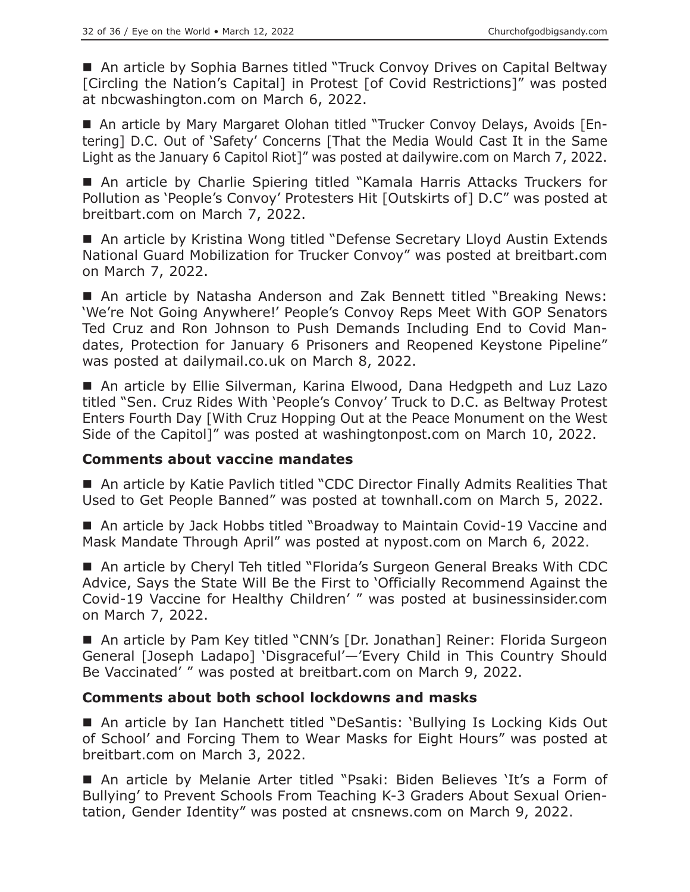■ An article by Sophia Barnes titled "Truck Convoy Drives on Capital Beltway [Circling the Nation's Capital] in Protest [of Covid Restrictions]" was posted at nbcwashington.com on March 6, 2022.

 An article by Mary Margaret Olohan titled "Trucker Convoy Delays, Avoids [Entering] D.C. Out of 'Safety' Concerns [That the Media Would Cast It in the Same Light as the January 6 Capitol Riot]" was posted at dailywire.com on March 7, 2022.

■ An article by Charlie Spiering titled "Kamala Harris Attacks Truckers for Pollution as 'People's Convoy' Protesters Hit [Outskirts of] D.C" was posted at breitbart.com on March 7, 2022.

■ An article by Kristina Wong titled "Defense Secretary Lloyd Austin Extends National Guard Mobilization for Trucker Convoy" was posted at breitbart.com on March 7, 2022.

■ An article by Natasha Anderson and Zak Bennett titled "Breaking News: 'We're Not Going Anywhere!' People's Convoy Reps Meet With GOP Senators Ted Cruz and Ron Johnson to Push Demands Including End to Covid Mandates, Protection for January 6 Prisoners and Reopened Keystone Pipeline" was posted at dailymail.co.uk on March 8, 2022.

■ An article by Ellie Silverman, Karina Elwood, Dana Hedgpeth and Luz Lazo titled "Sen. Cruz Rides With 'People's Convoy' Truck to D.C. as Beltway Protest Enters Fourth Day [With Cruz Hopping Out at the Peace Monument on the West Side of the Capitol]" was posted at washingtonpost.com on March 10, 2022.

## **Comments about vaccine mandates**

■ An article by Katie Pavlich titled "CDC Director Finally Admits Realities That Used to Get People Banned" was posted at townhall.com on March 5, 2022.

■ An article by Jack Hobbs titled "Broadway to Maintain Covid-19 Vaccine and Mask Mandate Through April" was posted at nypost.com on March 6, 2022.

■ An article by Cheryl Teh titled "Florida's Surgeon General Breaks With CDC Advice, Says the State Will Be the First to 'Officially Recommend Against the Covid-19 Vaccine for Healthy Children' " was posted at businessinsider.com on March 7, 2022.

■ An article by Pam Key titled "CNN's [Dr. Jonathan] Reiner: Florida Surgeon General [Joseph Ladapo] 'Disgraceful'—'Every Child in This Country Should Be Vaccinated' " was posted at breitbart.com on March 9, 2022.

## **Comments about both school lockdowns and masks**

■ An article by Ian Hanchett titled "DeSantis: 'Bullying Is Locking Kids Out of School' and Forcing Them to Wear Masks for Eight Hours" was posted at breitbart.com on March 3, 2022.

 An article by Melanie Arter titled "Psaki: Biden Believes 'It's a Form of Bullying' to Prevent Schools From Teaching K-3 Graders About Sexual Orientation, Gender Identity" was posted at cnsnews.com on March 9, 2022.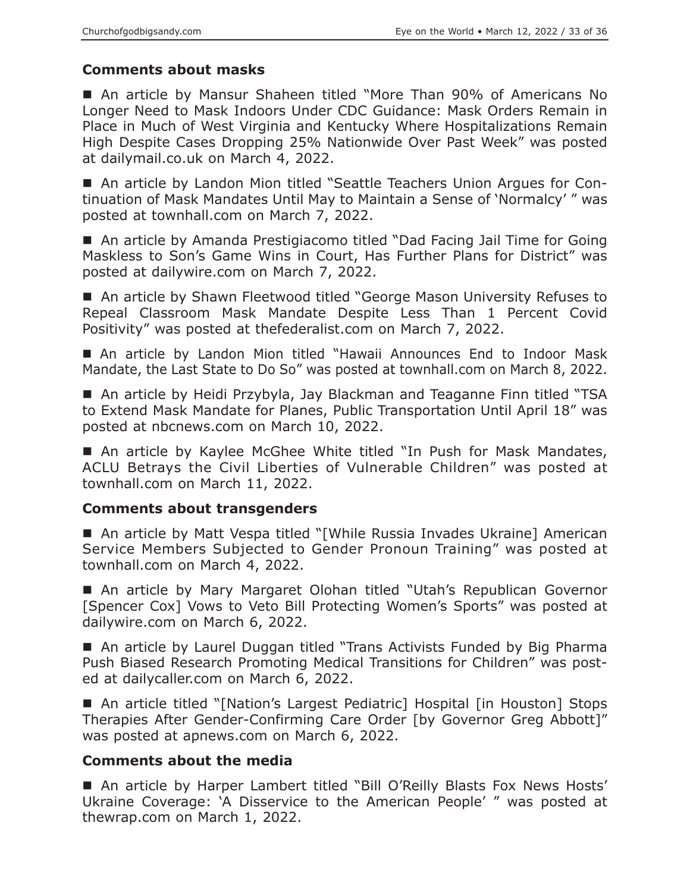# **Comments about masks**

 An article by Mansur Shaheen titled "More Than 90% of Americans No Longer Need to Mask Indoors Under CDC Guidance: Mask Orders Remain in Place in Much of West Virginia and Kentucky Where Hospitalizations Remain High Despite Cases Dropping 25% Nationwide Over Past Week" was posted at dailymail.co.uk on March 4, 2022.

■ An article by Landon Mion titled "Seattle Teachers Union Argues for Continuation of Mask Mandates Until May to Maintain a Sense of 'Normalcy' " was posted at townhall.com on March 7, 2022.

 An article by Amanda Prestigiacomo titled "Dad Facing Jail Time for Going Maskless to Son's Game Wins in Court, Has Further Plans for District" was posted at dailywire.com on March 7, 2022.

■ An article by Shawn Fleetwood titled "George Mason University Refuses to Repeal Classroom Mask Mandate Despite Less Than 1 Percent Covid Positivity" was posted at thefederalist.com on March 7, 2022.

 An article by Landon Mion titled "Hawaii Announces End to Indoor Mask Mandate, the Last State to Do So" was posted at townhall.com on March 8, 2022.

■ An article by Heidi Przybyla, Jay Blackman and Teaganne Finn titled "TSA to Extend Mask Mandate for Planes, Public Transportation Until April 18" was posted at nbcnews.com on March 10, 2022.

■ An article by Kaylee McGhee White titled "In Push for Mask Mandates, ACLU Betrays the Civil Liberties of Vulnerable Children" was posted at townhall.com on March 11, 2022.

## **Comments about transgenders**

■ An article by Matt Vespa titled "[While Russia Invades Ukraine] American Service Members Subjected to Gender Pronoun Training" was posted at townhall.com on March 4, 2022.

■ An article by Mary Margaret Olohan titled "Utah's Republican Governor [Spencer Cox] Vows to Veto Bill Protecting Women's Sports" was posted at dailywire.com on March 6, 2022.

■ An article by Laurel Duggan titled "Trans Activists Funded by Big Pharma Push Biased Research Promoting Medical Transitions for Children" was posted at dailycaller.com on March 6, 2022.

■ An article titled "[Nation's Largest Pediatric] Hospital [in Houston] Stops Therapies After Gender-Confirming Care Order [by Governor Greg Abbott]" was posted at apnews.com on March 6, 2022.

## **Comments about the media**

■ An article by Harper Lambert titled "Bill O'Reilly Blasts Fox News Hosts' Ukraine Coverage: 'A Disservice to the American People' " was posted at thewrap.com on March 1, 2022.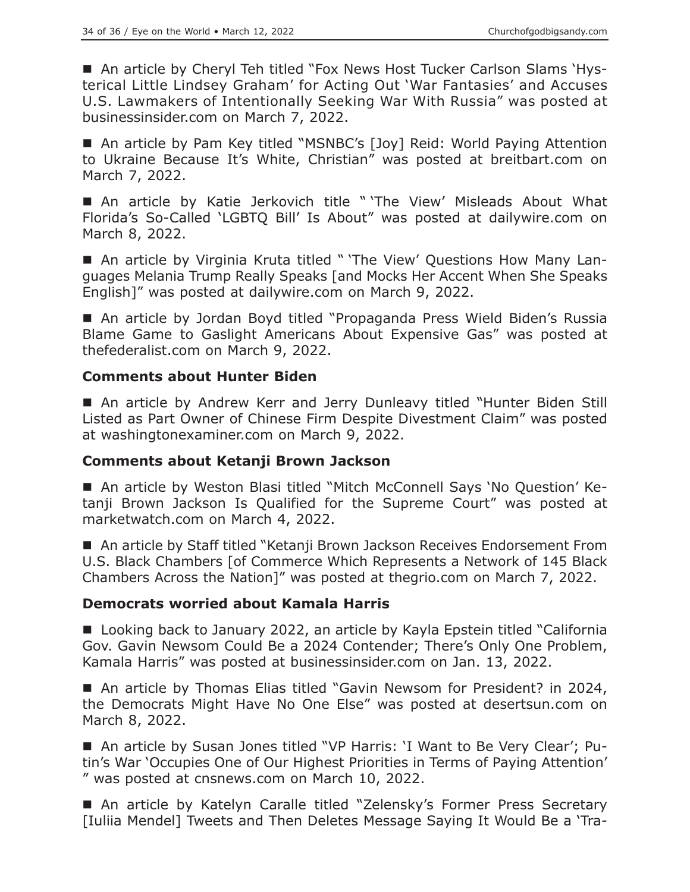■ An article by Cheryl Teh titled "Fox News Host Tucker Carlson Slams 'Hysterical Little Lindsey Graham' for Acting Out 'War Fantasies' and Accuses U.S. Lawmakers of Intentionally Seeking War With Russia" was posted at businessinsider.com on March 7, 2022.

■ An article by Pam Key titled "MSNBC's [Joy] Reid: World Paying Attention to Ukraine Because It's White, Christian" was posted at breitbart.com on March 7, 2022.

 An article by Katie Jerkovich title " 'The View' Misleads About What Florida's So-Called 'LGBTQ Bill' Is About" was posted at dailywire.com on March 8, 2022.

■ An article by Virginia Kruta titled " 'The View' Questions How Many Languages Melania Trump Really Speaks [and Mocks Her Accent When She Speaks English]" was posted at dailywire.com on March 9, 2022.

■ An article by Jordan Boyd titled "Propaganda Press Wield Biden's Russia Blame Game to Gaslight Americans About Expensive Gas" was posted at thefederalist.com on March 9, 2022.

## **Comments about Hunter Biden**

 An article by Andrew Kerr and Jerry Dunleavy titled "Hunter Biden Still Listed as Part Owner of Chinese Firm Despite Divestment Claim" was posted at washingtonexaminer.com on March 9, 2022.

#### **Comments about Ketanji Brown Jackson**

 An article by Weston Blasi titled "Mitch McConnell Says 'No Question' Ketanji Brown Jackson Is Qualified for the Supreme Court" was posted at marketwatch.com on March 4, 2022.

■ An article by Staff titled "Ketanji Brown Jackson Receives Endorsement From U.S. Black Chambers [of Commerce Which Represents a Network of 145 Black Chambers Across the Nation]" was posted at thegrio.com on March 7, 2022.

#### **Democrats worried about Kamala Harris**

■ Looking back to January 2022, an article by Kayla Epstein titled "California Gov. Gavin Newsom Could Be a 2024 Contender; There's Only One Problem, Kamala Harris" was posted at businessinsider.com on Jan. 13, 2022.

■ An article by Thomas Elias titled "Gavin Newsom for President? in 2024, the Democrats Might Have No One Else" was posted at desertsun.com on March 8, 2022.

 An article by Susan Jones titled "VP Harris: 'I Want to Be Very Clear'; Putin's War 'Occupies One of Our Highest Priorities in Terms of Paying Attention' " was posted at cnsnews.com on March 10, 2022.

■ An article by Katelyn Caralle titled "Zelensky's Former Press Secretary [Iuliia Mendel] Tweets and Then Deletes Message Saying It Would Be a 'Tra-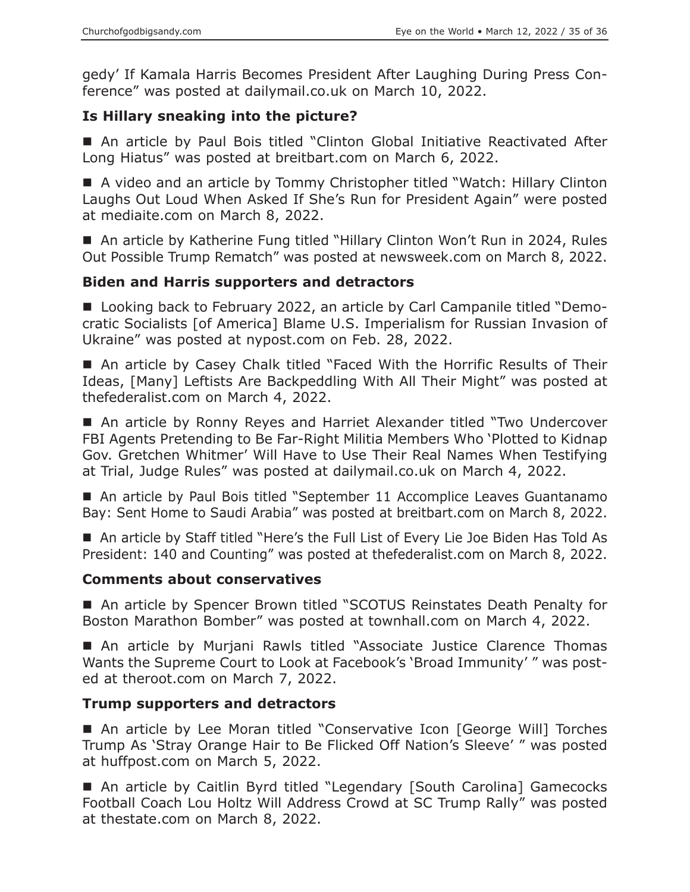gedy' If Kamala Harris Becomes President After Laughing During Press Conference" was posted at dailymail.co.uk on March 10, 2022.

# **Is Hillary sneaking into the picture?**

 An article by Paul Bois titled "Clinton Global Initiative Reactivated After Long Hiatus" was posted at breitbart.com on March 6, 2022.

■ A video and an article by Tommy Christopher titled "Watch: Hillary Clinton Laughs Out Loud When Asked If She's Run for President Again" were posted at mediaite.com on March 8, 2022.

■ An article by Katherine Fung titled "Hillary Clinton Won't Run in 2024, Rules Out Possible Trump Rematch" was posted at newsweek.com on March 8, 2022.

## **Biden and Harris supporters and detractors**

■ Looking back to February 2022, an article by Carl Campanile titled "Democratic Socialists [of America] Blame U.S. Imperialism for Russian Invasion of Ukraine" was posted at nypost.com on Feb. 28, 2022.

■ An article by Casey Chalk titled "Faced With the Horrific Results of Their Ideas, [Many] Leftists Are Backpeddling With All Their Might" was posted at thefederalist.com on March 4, 2022.

 An article by Ronny Reyes and Harriet Alexander titled "Two Undercover FBI Agents Pretending to Be Far-Right Militia Members Who 'Plotted to Kidnap Gov. Gretchen Whitmer' Will Have to Use Their Real Names When Testifying at Trial, Judge Rules" was posted at dailymail.co.uk on March 4, 2022.

■ An article by Paul Bois titled "September 11 Accomplice Leaves Guantanamo Bay: Sent Home to Saudi Arabia" was posted at breitbart.com on March 8, 2022.

■ An article by Staff titled "Here's the Full List of Every Lie Joe Biden Has Told As President: 140 and Counting" was posted at thefederalist.com on March 8, 2022.

## **Comments about conservatives**

■ An article by Spencer Brown titled "SCOTUS Reinstates Death Penalty for Boston Marathon Bomber" was posted at townhall.com on March 4, 2022.

■ An article by Murjani Rawls titled "Associate Justice Clarence Thomas Wants the Supreme Court to Look at Facebook's 'Broad Immunity' " was posted at theroot.com on March 7, 2022.

## **Trump supporters and detractors**

■ An article by Lee Moran titled "Conservative Icon [George Will] Torches Trump As 'Stray Orange Hair to Be Flicked Off Nation's Sleeve' " was posted at huffpost.com on March 5, 2022.

■ An article by Caitlin Byrd titled "Legendary [South Carolina] Gamecocks Football Coach Lou Holtz Will Address Crowd at SC Trump Rally" was posted at thestate.com on March 8, 2022.